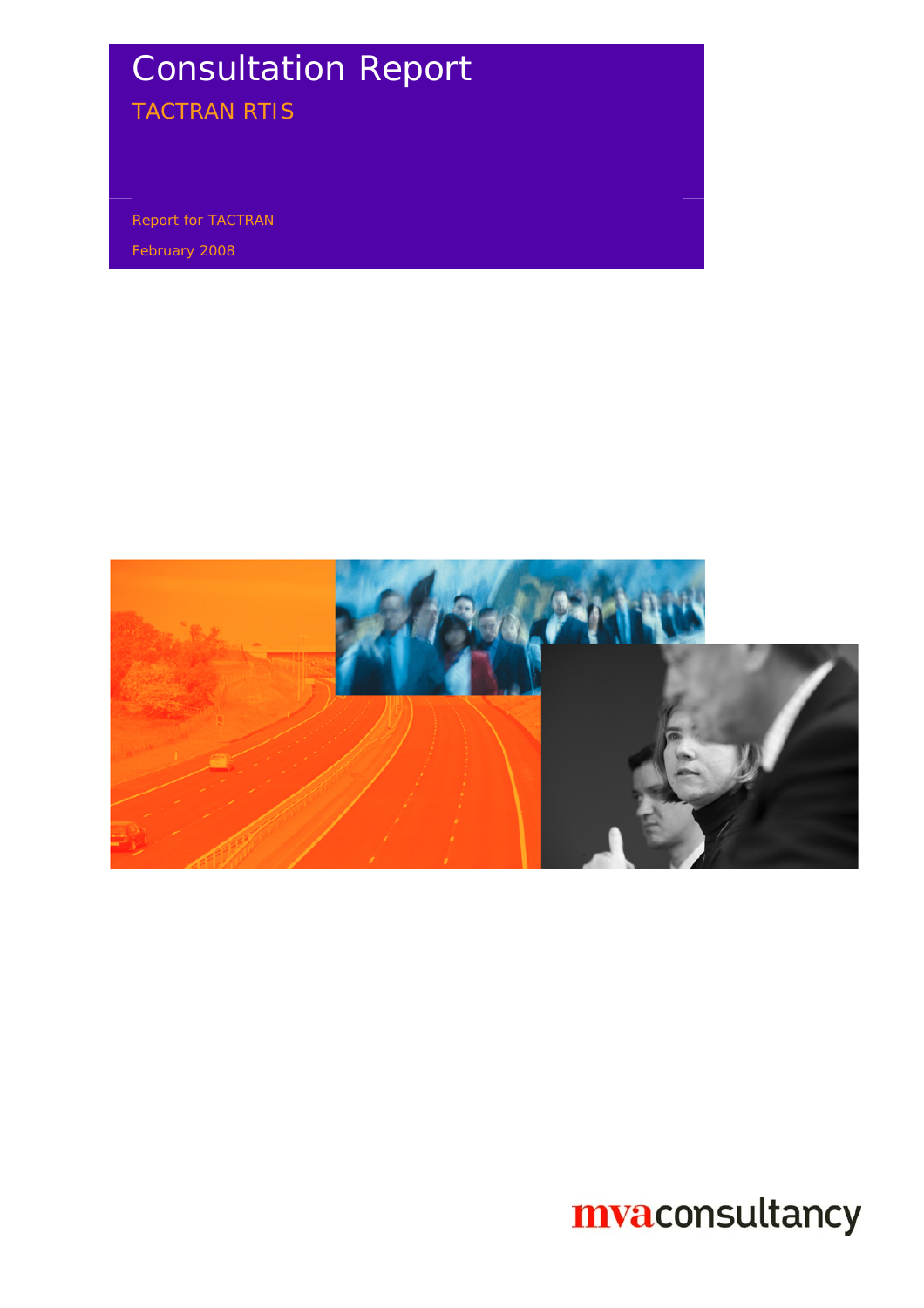# Consultation Report

TACTRAN RTIS

Report for TACTRAN

February 2008

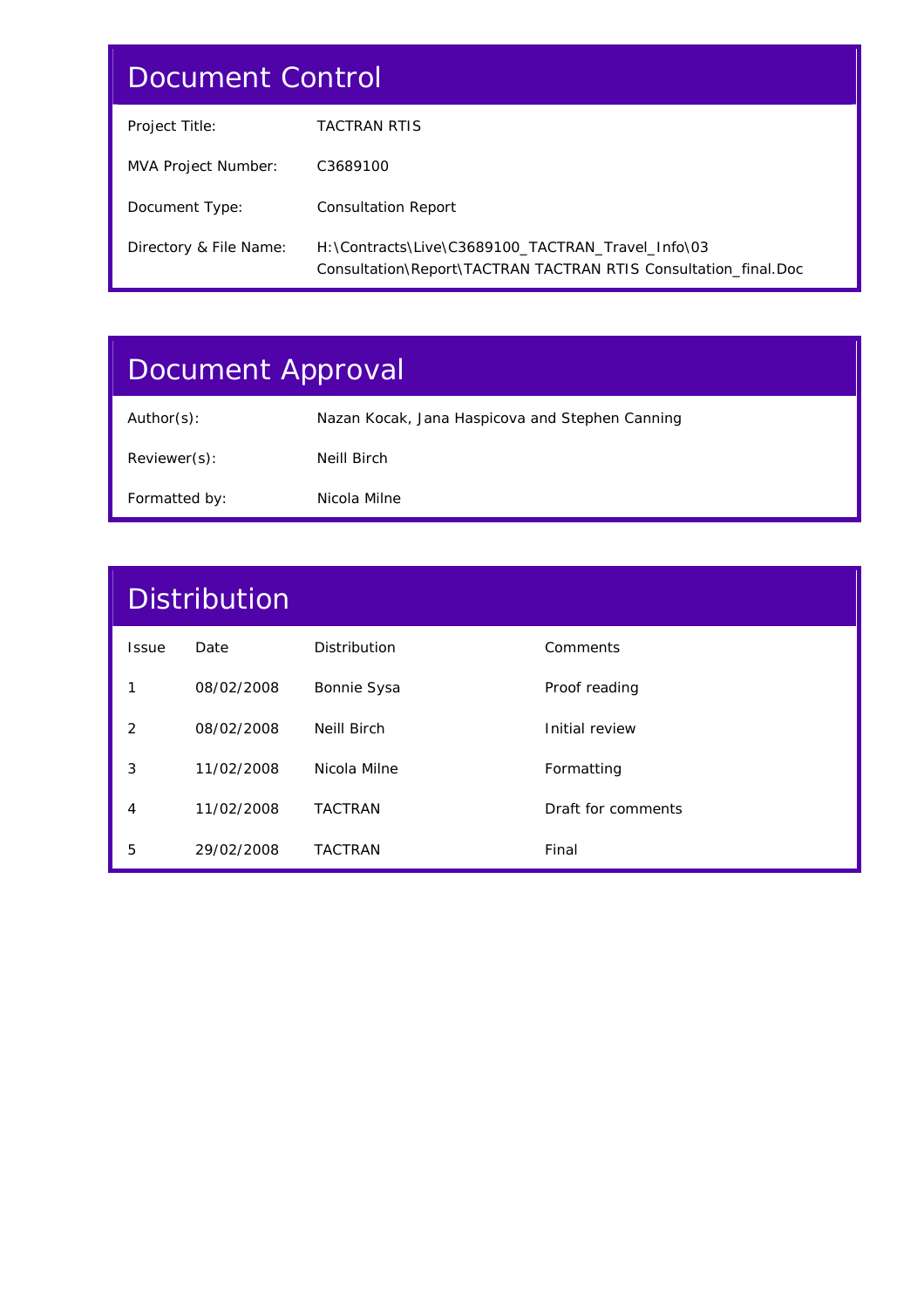## Document Control

| Project Title:         | <b>TACTRAN RTIS</b>                                                                                                  |
|------------------------|----------------------------------------------------------------------------------------------------------------------|
| MVA Project Number:    | C3689100                                                                                                             |
| Document Type:         | <b>Consultation Report</b>                                                                                           |
| Directory & File Name: | H:\Contracts\Live\C3689100 TACTRAN Travel Info\03<br>Consultation\Report\TACTRAN TACTRAN RTIS Consultation final.Doc |

# Document Approval

| Author(s):    | Nazan Kocak, Jana Haspicova and Stephen Canning |
|---------------|-------------------------------------------------|
| Reviewer(s):  | Neill Birch                                     |
| Formatted by: | Nicola Milne                                    |

| <b>Distribution</b> |            |                |                    |
|---------------------|------------|----------------|--------------------|
| <b>Issue</b>        | Date       | Distribution   | Comments           |
| 1                   | 08/02/2008 | Bonnie Sysa    | Proof reading      |
| 2                   | 08/02/2008 | Neill Birch    | Initial review     |
| 3                   | 11/02/2008 | Nicola Milne   | Formatting         |
| 4                   | 11/02/2008 | <b>TACTRAN</b> | Draft for comments |
| 5                   | 29/02/2008 | <b>TACTRAN</b> | Final              |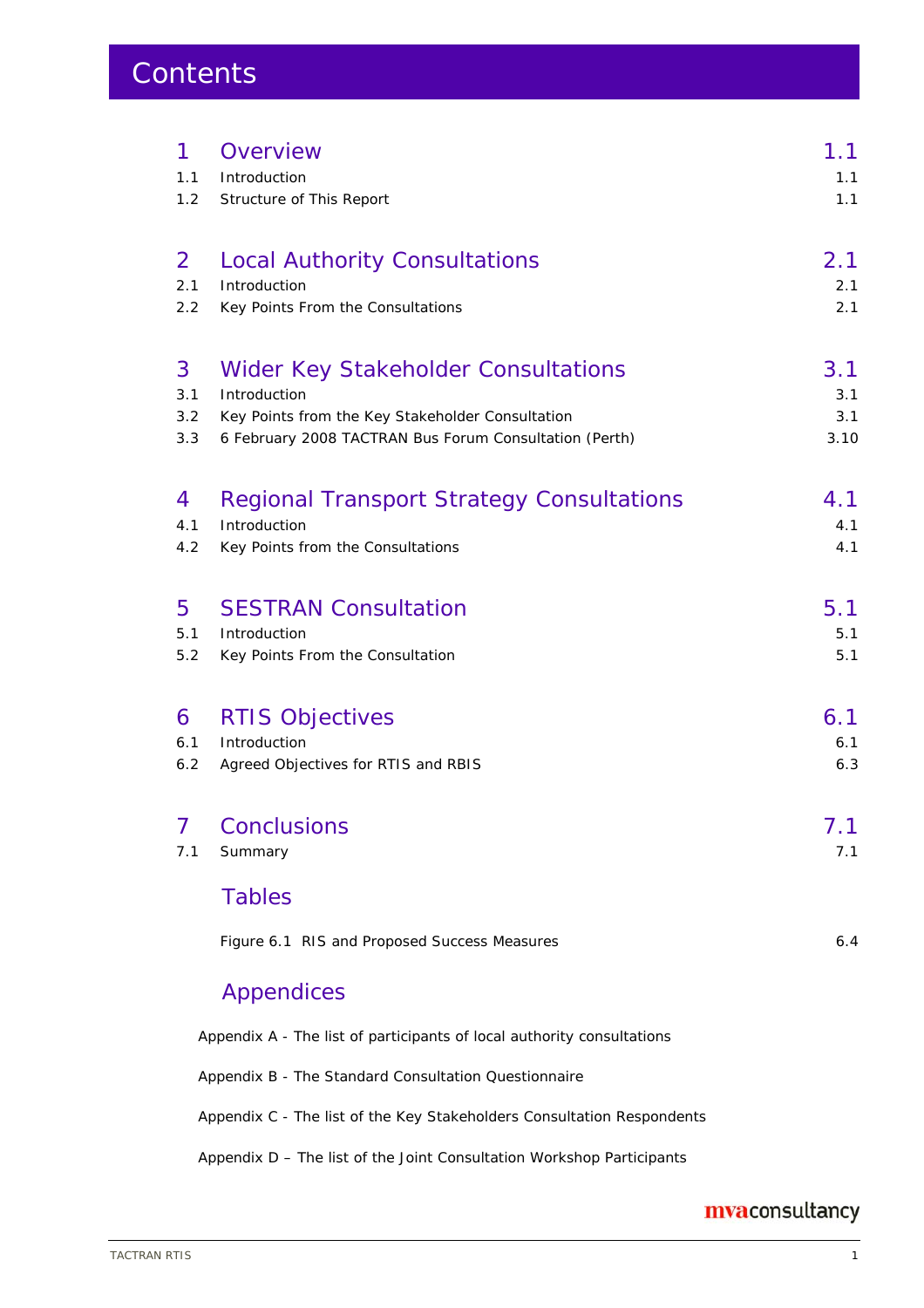## **Contents**

| 1   | Overview                                                               | 1.1  |
|-----|------------------------------------------------------------------------|------|
| 1.1 | Introduction                                                           | 1.1  |
| 1.2 | Structure of This Report                                               | 1.1  |
| 2   | <b>Local Authority Consultations</b>                                   | 2.1  |
| 2.1 | Introduction                                                           | 2.1  |
| 2.2 | Key Points From the Consultations                                      | 2.1  |
| 3   | <b>Wider Key Stakeholder Consultations</b>                             | 3.1  |
| 3.1 | Introduction                                                           | 3.1  |
| 3.2 | Key Points from the Key Stakeholder Consultation                       | 3.1  |
| 3.3 | 6 February 2008 TACTRAN Bus Forum Consultation (Perth)                 | 3.10 |
| 4   | <b>Regional Transport Strategy Consultations</b>                       | 4.1  |
| 4.1 | Introduction                                                           | 4.1  |
| 4.2 | Key Points from the Consultations                                      | 4.1  |
| 5   | <b>SESTRAN Consultation</b>                                            | 5.1  |
| 5.1 | Introduction                                                           | 5.1  |
| 5.2 | Key Points From the Consultation                                       | 5.1  |
| 6   | <b>RTIS Objectives</b>                                                 | 6.1  |
| 6.1 | Introduction                                                           | 6.1  |
| 6.2 | Agreed Objectives for RTIS and RBIS                                    | 6.3  |
| 7   | <b>Conclusions</b>                                                     | 7.1  |
| 7.1 | Summary                                                                | 7.1  |
|     | <b>Tables</b>                                                          |      |
|     | Figure 6.1 RIS and Proposed Success Measures                           | 6.4  |
|     | <b>Appendices</b>                                                      |      |
|     | Appendix A - The list of participants of local authority consultations |      |
|     | Appendix B - The Standard Consultation Questionnaire                   |      |
|     | Appendix C - The list of the Key Stakeholders Consultation Respondents |      |

Appendix D – The list of the Joint Consultation Workshop Participants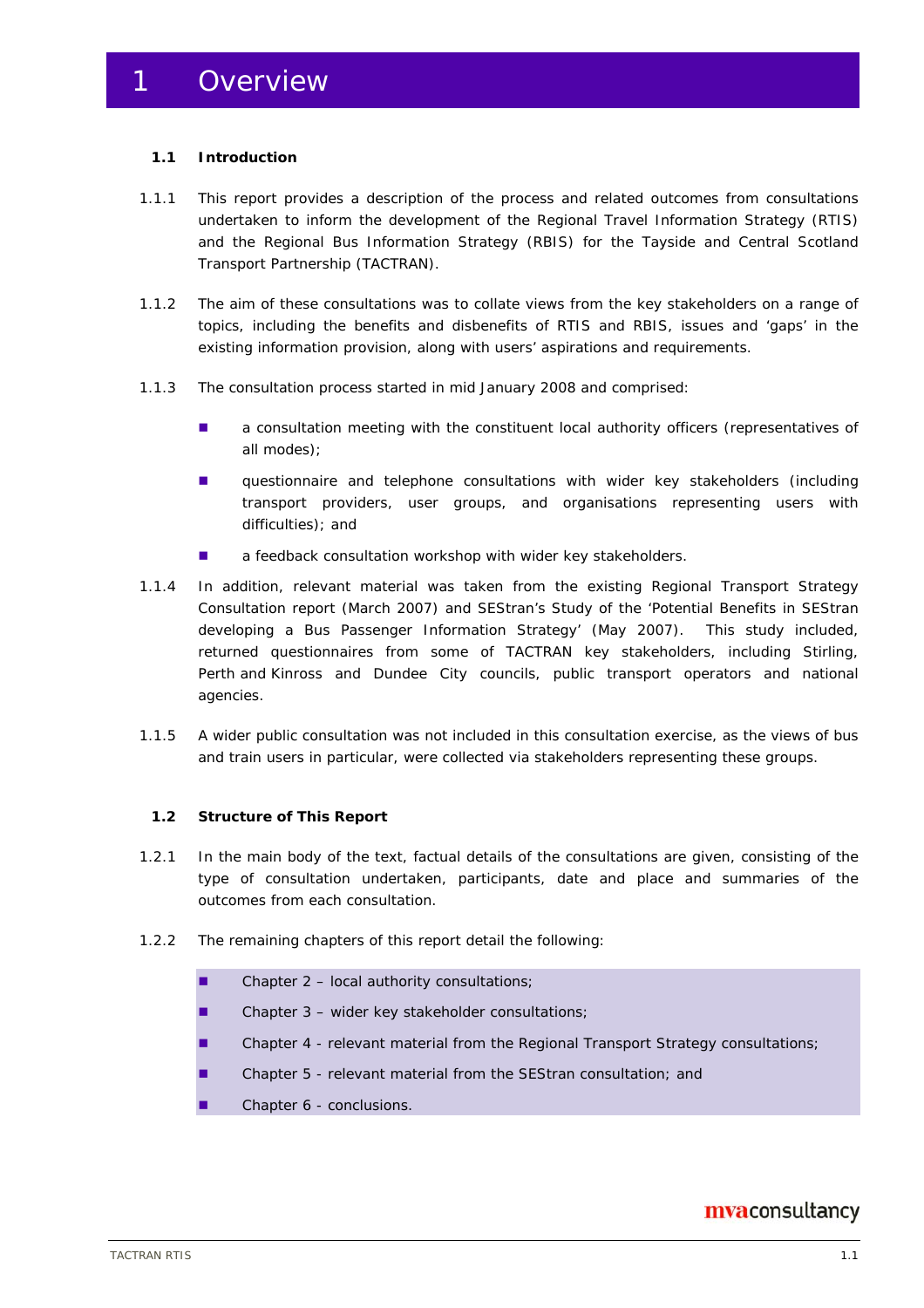### **1.1 Introduction**

- 1.1.1 This report provides a description of the process and related outcomes from consultations undertaken to inform the development of the Regional Travel Information Strategy (RTIS) and the Regional Bus Information Strategy (RBIS) for the Tayside and Central Scotland Transport Partnership (TACTRAN).
- 1.1.2 The aim of these consultations was to collate views from the key stakeholders on a range of topics, including the benefits and disbenefits of RTIS and RBIS, issues and 'gaps' in the existing information provision, along with users' aspirations and requirements.
- 1.1.3 The consultation process started in mid January 2008 and comprised:
	- **a** a consultation meeting with the constituent local authority officers (representatives of all modes);
	- **questionnaire and telephone consultations with wider key stakeholders (including** transport providers, user groups, and organisations representing users with difficulties); and
	- **a** feedback consultation workshop with wider key stakeholders.
- 1.1.4 In addition, relevant material was taken from the existing Regional Transport Strategy Consultation report (March 2007) and SEStran's Study of the 'Potential Benefits in SEStran developing a Bus Passenger Information Strategy' (May 2007). This study included, returned questionnaires from some of TACTRAN key stakeholders, including Stirling, Perth and Kinross and Dundee City councils, public transport operators and national agencies.
- 1.1.5 A wider public consultation was not included in this consultation exercise, as the views of bus and train users in particular, were collected via stakeholders representing these groups.

#### **1.2 Structure of This Report**

- 1.2.1 In the main body of the text, factual details of the consultations are given, consisting of the type of consultation undertaken, participants, date and place and summaries of the outcomes from each consultation.
- 1.2.2 The remaining chapters of this report detail the following:
	- Chapter  $2 local$  authority consultations;
	- Chapter 3 wider key stakeholder consultations;
	- **Chapter 4 relevant material from the Regional Transport Strategy consultations;**
	- Chapter 5 relevant material from the SEStran consultation; and
	- Chapter 6 conclusions.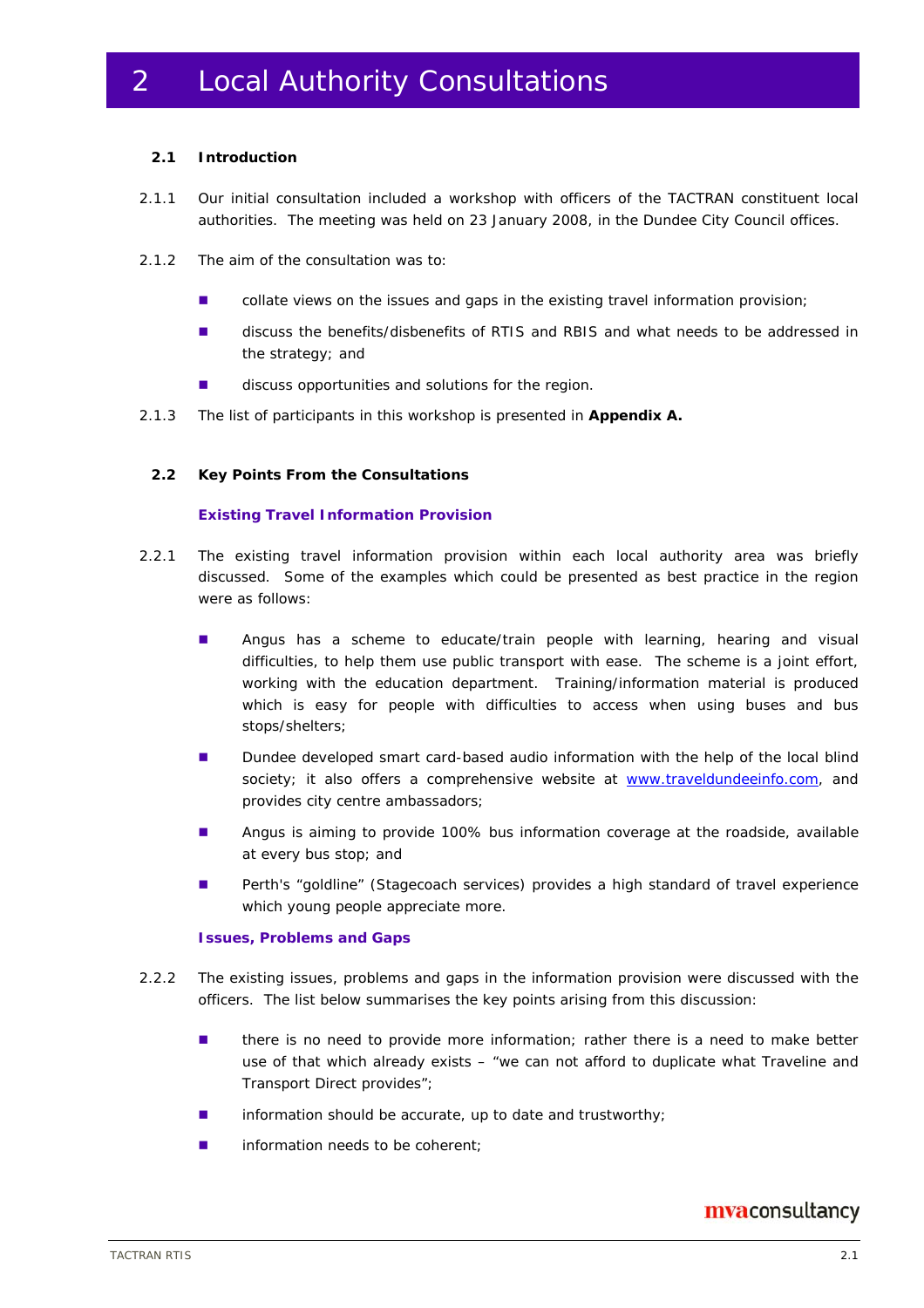## 2 Local Authority Consultations

#### **2.1 Introduction**

- 2.1.1 Our initial consultation included a workshop with officers of the TACTRAN constituent local authorities. The meeting was held on 23 January 2008, in the Dundee City Council offices.
- 2.1.2 The aim of the consultation was to:
	- **COLLATE:** collate views on the issues and gaps in the existing travel information provision;
	- discuss the benefits/disbenefits of RTIS and RBIS and what needs to be addressed in the strategy; and
	- discuss opportunities and solutions for the region.
- 2.1.3 The list of participants in this workshop is presented in **Appendix A.**

#### **2.2 Key Points From the Consultations**

#### **Existing Travel Information Provision**

- 2.2.1 The existing travel information provision within each local authority area was briefly discussed. Some of the examples which could be presented as best practice in the region were as follows:
	- **Angus has a scheme to educate/train people with learning, hearing and visual** difficulties, to help them use public transport with ease. The scheme is a joint effort, working with the education department. Training/information material is produced which is easy for people with difficulties to access when using buses and bus stops/shelters;
	- **Dundee developed smart card-based audio information with the help of the local blind** society; it also offers a comprehensive website at www.traveldundeeinfo.com, and provides city centre ambassadors;
	- **Angus is aiming to provide 100% bus information coverage at the roadside, available** at every bus stop; and
	- **Perth's "goldline" (Stagecoach services) provides a high standard of travel experience** which young people appreciate more.

#### **Issues, Problems and Gaps**

- 2.2.2 The existing issues, problems and gaps in the information provision were discussed with the officers. The list below summarises the key points arising from this discussion:
	- **there is no need to provide more information; rather there is a need to make better** use of that which already exists – "we can not afford to duplicate what Traveline and Transport Direct provides";
	- $\blacksquare$  information should be accurate, up to date and trustworthy;
	- **information needs to be coherent;**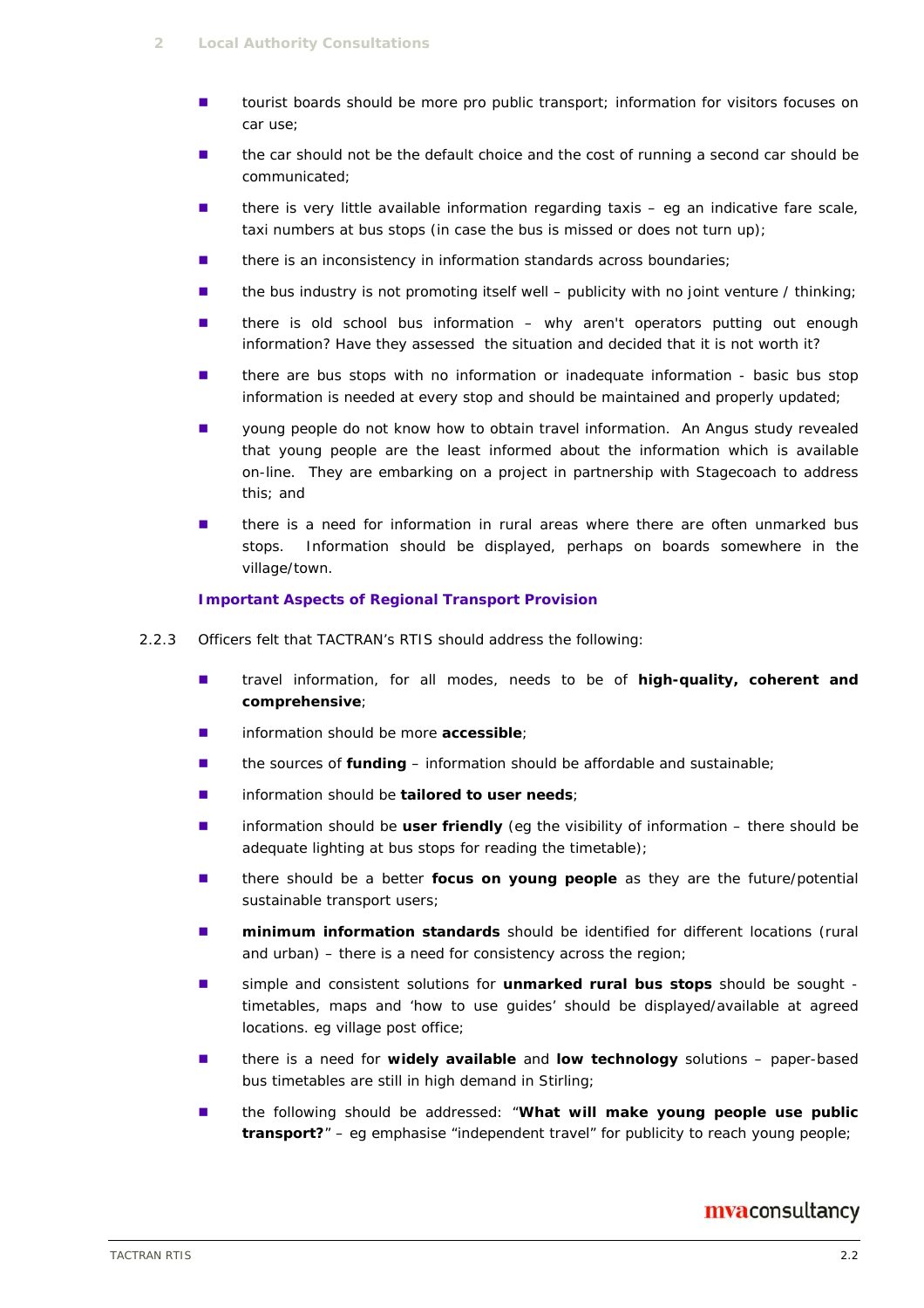- **tourist boards should be more pro public transport; information for visitors focuses on** car use;
- the car should not be the default choice and the cost of running a second car should be communicated;
- $\blacksquare$  there is very little available information regarding taxis eg an indicative fare scale, taxi numbers at bus stops (in case the bus is missed or does not turn up);
- there is an inconsistency in information standards across boundaries;
- $\blacksquare$  the bus industry is not promoting itself well publicity with no joint venture / thinking;
- there is old school bus information why aren't operators putting out enough information? Have they assessed the situation and decided that it is not worth it?
- there are bus stops with no information or inadequate information basic bus stop information is needed at every stop and should be maintained and properly updated;
- young people do not know how to obtain travel information. An Angus study revealed that young people are the least informed about the information which is available on-line. They are embarking on a project in partnership with Stagecoach to address this; and
- there is a need for information in rural areas where there are often unmarked bus stops. Information should be displayed, perhaps on boards somewhere in the village/town.

#### **Important Aspects of Regional Transport Provision**

- 2.2.3 Officers felt that TACTRAN's RTIS should address the following:
	- travel information, for all modes, needs to be of **high-quality, coherent and comprehensive**;
	- information should be more **accessible**;
	- the sources of **funding** information should be affordable and sustainable;
	- information should be **tailored to user needs**;
	- information should be **user friendly** (eq the visibility of information there should be adequate lighting at bus stops for reading the timetable);
	- **there should be a better focus on young people** as they are the future/potential sustainable transport users;
	- **nimimum information standards** should be identified for different locations (rural and urban) – there is a need for consistency across the region;
	- simple and consistent solutions for **unmarked rural bus stops** should be sought timetables, maps and 'how to use guides' should be displayed/available at agreed locations. eg village post office;
	- there is a need for **widely available** and **low technology** solutions paper-based bus timetables are still in high demand in Stirling;
	- the following should be addressed: "**What will make young people use public transport?**" – eg emphasise "independent travel" for publicity to reach young people;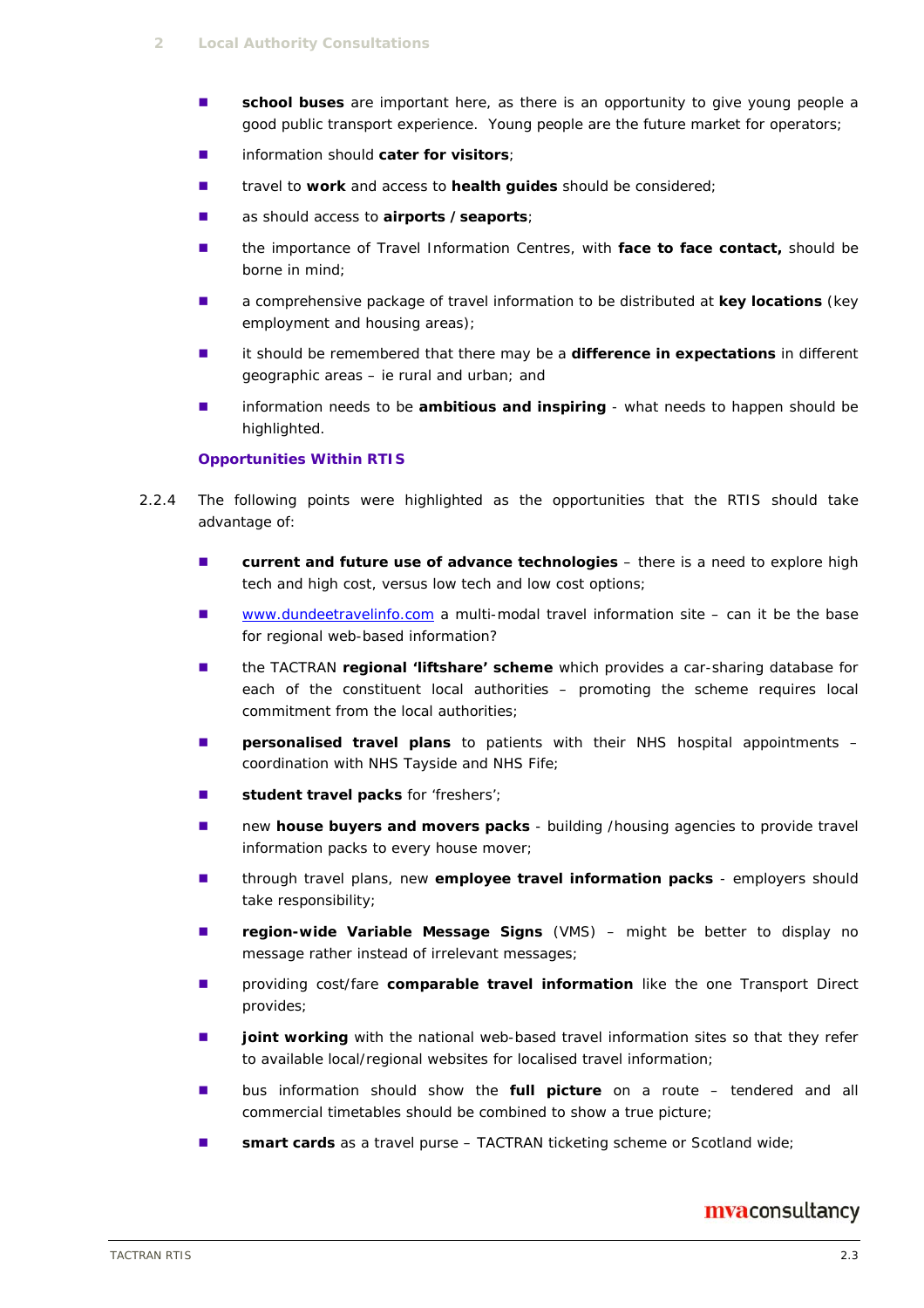- **school buses** are important here, as there is an opportunity to give young people a good public transport experience. Young people are the future market for operators;
- information should **cater for visitors**;
- travel to **work** and access to **health guides** should be considered;
- as should access to **airports /seaports**;
- the importance of Travel Information Centres, with face to face contact, should be borne in mind;
- a comprehensive package of travel information to be distributed at **key locations** (key employment and housing areas);
- it should be remembered that there may be a **difference in expectations** in different geographic areas – ie rural and urban; and
- **I** information needs to be **ambitious and inspiring** what needs to happen should be highlighted.

#### **Opportunities Within RTIS**

- 2.2.4 The following points were highlighted as the opportunities that the RTIS should take advantage of:
	- **E** current and future use of advance technologies there is a need to explore high tech and high cost, versus low tech and low cost options;
	- www.dundeetravelinfo.com a multi-modal travel information site can it be the base for regional web-based information?
	- the TACTRAN regional 'liftshare' scheme which provides a car-sharing database for each of the constituent local authorities – promoting the scheme requires local commitment from the local authorities;
	- **Personalised travel plans** to patients with their NHS hospital appointments coordination with NHS Tayside and NHS Fife;
	- **student travel packs** for 'freshers';
	- **new house buyers and movers packs** building /housing agencies to provide travel information packs to every house mover;
	- through travel plans, new **employee travel information packs** employers should take responsibility;
	- **region-wide Variable Message Signs** (VMS) might be better to display no message rather instead of irrelevant messages;
	- **n** providing cost/fare **comparable travel information** like the one Transport Direct provides;
	- **joint working** with the national web-based travel information sites so that they refer to available local/regional websites for localised travel information;
	- bus information should show the **full picture** on a route tendered and all commercial timetables should be combined to show a true picture;
	- **smart cards** as a travel purse TACTRAN ticketing scheme or Scotland wide;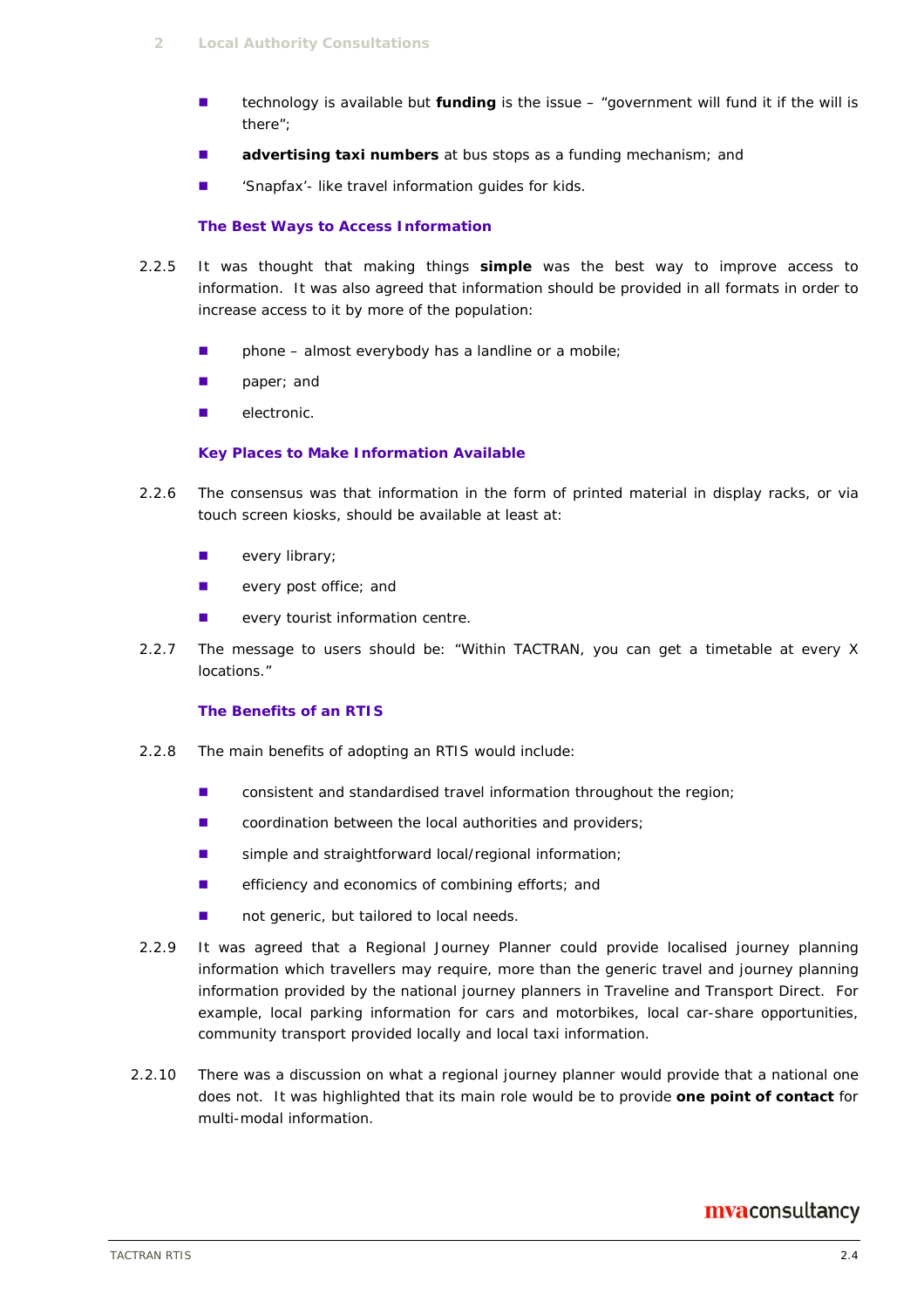- technology is available but **funding** is the issue "government will fund it if the will is there";
- **advertising taxi numbers** at bus stops as a funding mechanism; and
- Snapfax'- like travel information guides for kids.

#### **The Best Ways to Access Information**

- 2.2.5 It was thought that making things **simple** was the best way to improve access to information. It was also agreed that information should be provided in all formats in order to increase access to it by more of the population:
	- $\blacksquare$  phone almost everybody has a landline or a mobile;
	- **paper**; and
	- **electronic.**

#### **Key Places to Make Information Available**

- 2.2.6 The consensus was that information in the form of printed material in display racks, or via touch screen kiosks, should be available at least at:
	- **every library;**
	- **E** every post office; and
	- **EXECUTE:** every tourist information centre.
- 2.2.7 The message to users should be: "Within TACTRAN, you can get a timetable at every X locations."

#### **The Benefits of an RTIS**

- 2.2.8 The main benefits of adopting an RTIS would include:
	- consistent and standardised travel information throughout the region;
	- **EXECOORDINATION DETECTS:** COORDINATION between the local authorities and providers;
	- simple and straightforward local/regional information;
	- **EXECUTE:** efficiency and economics of combining efforts; and
	- not generic, but tailored to local needs.
- 2.2.9 It was agreed that a Regional Journey Planner could provide localised journey planning information which travellers may require, more than the generic travel and journey planning information provided by the national journey planners in Traveline and Transport Direct. For example, local parking information for cars and motorbikes, local car-share opportunities, community transport provided locally and local taxi information.
- 2.2.10 There was a discussion on what a regional journey planner would provide that a national one does not. It was highlighted that its main role would be to provide **one point of contact** for multi-modal information.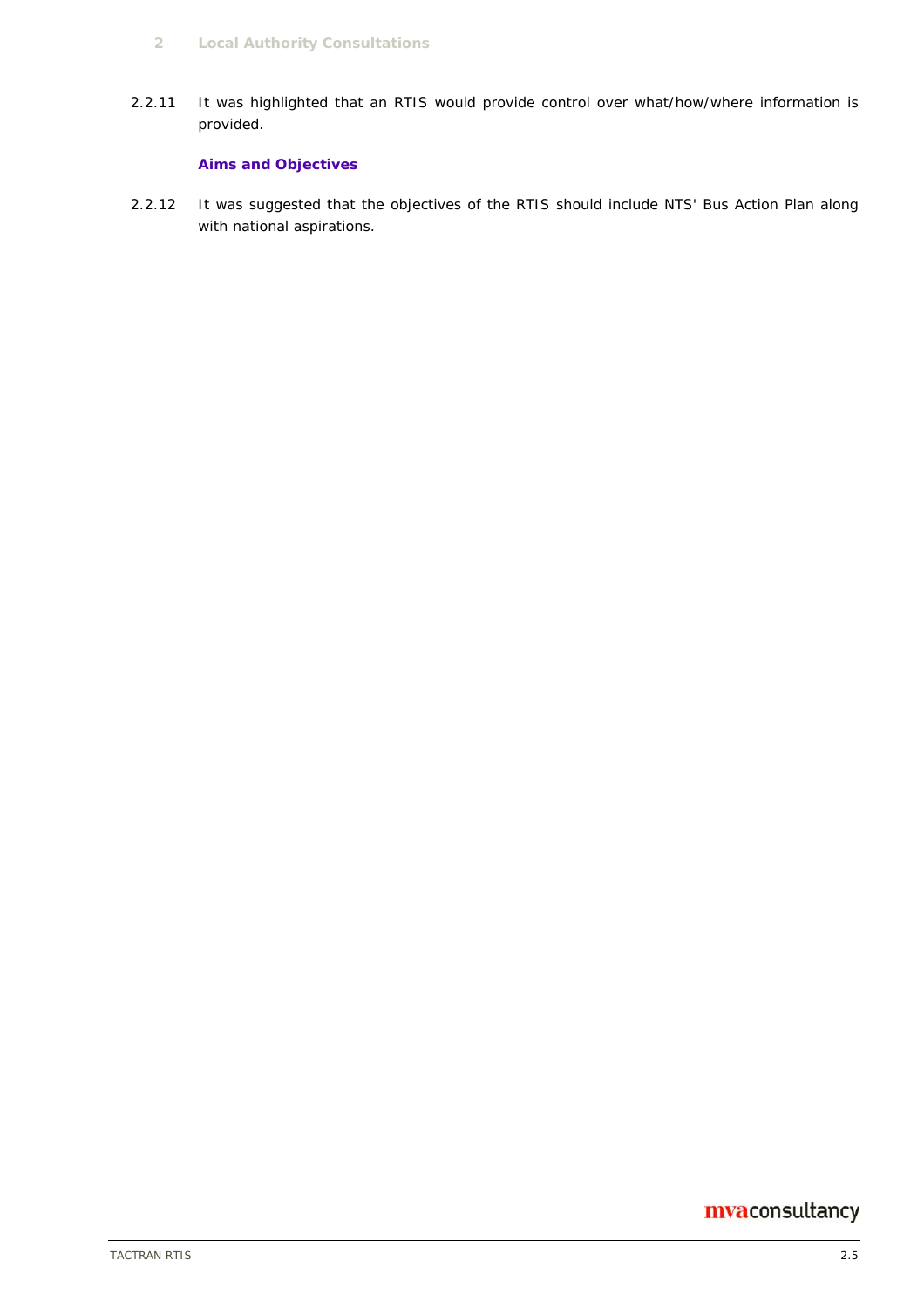2.2.11 It was highlighted that an RTIS would provide control over what/how/where information is provided.

#### **Aims and Objectives**

2.2.12 It was suggested that the objectives of the RTIS should include NTS' Bus Action Plan along with national aspirations.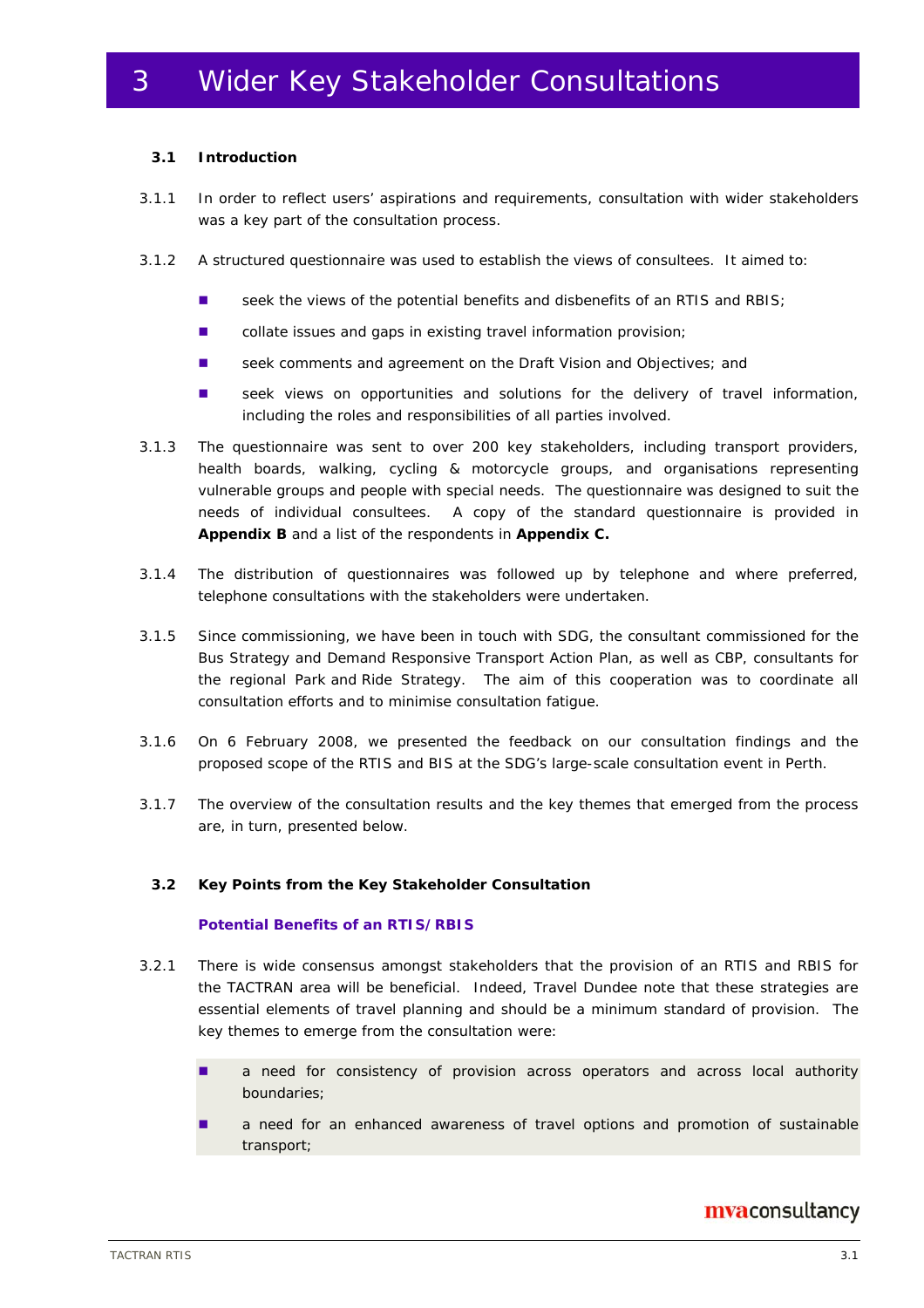#### **3.1 Introduction**

- 3.1.1 In order to reflect users' aspirations and requirements, consultation with wider stakeholders was a key part of the consultation process.
- 3.1.2 A structured questionnaire was used to establish the views of consultees. It aimed to:
	- seek the views of the potential benefits and disbenefits of an RTIS and RBIS;
	- collate issues and gaps in existing travel information provision;
	- seek comments and agreement on the Draft Vision and Objectives; and
	- seek views on opportunities and solutions for the delivery of travel information, including the roles and responsibilities of all parties involved.
- 3.1.3 The questionnaire was sent to over 200 key stakeholders, including transport providers, health boards, walking, cycling & motorcycle groups, and organisations representing vulnerable groups and people with special needs. The questionnaire was designed to suit the needs of individual consultees. A copy of the standard questionnaire is provided in **Appendix B** and a list of the respondents in **Appendix C.**
- 3.1.4 The distribution of questionnaires was followed up by telephone and where preferred, telephone consultations with the stakeholders were undertaken.
- 3.1.5 Since commissioning, we have been in touch with SDG, the consultant commissioned for the Bus Strategy and Demand Responsive Transport Action Plan, as well as CBP, consultants for the regional Park and Ride Strategy. The aim of this cooperation was to coordinate all consultation efforts and to minimise consultation fatigue.
- 3.1.6 On 6 February 2008, we presented the feedback on our consultation findings and the proposed scope of the RTIS and BIS at the SDG's large-scale consultation event in Perth.
- 3.1.7 The overview of the consultation results and the key themes that emerged from the process are, in turn, presented below.

#### **3.2 Key Points from the Key Stakeholder Consultation**

#### **Potential Benefits of an RTIS/RBIS**

- 3.2.1 There is wide consensus amongst stakeholders that the provision of an RTIS and RBIS for the TACTRAN area will be beneficial. Indeed, Travel Dundee note that these strategies are essential elements of travel planning and should be a minimum standard of provision. The key themes to emerge from the consultation were:
	- **a** need for consistency of provision across operators and across local authority boundaries;
	- a need for an enhanced awareness of travel options and promotion of sustainable transport;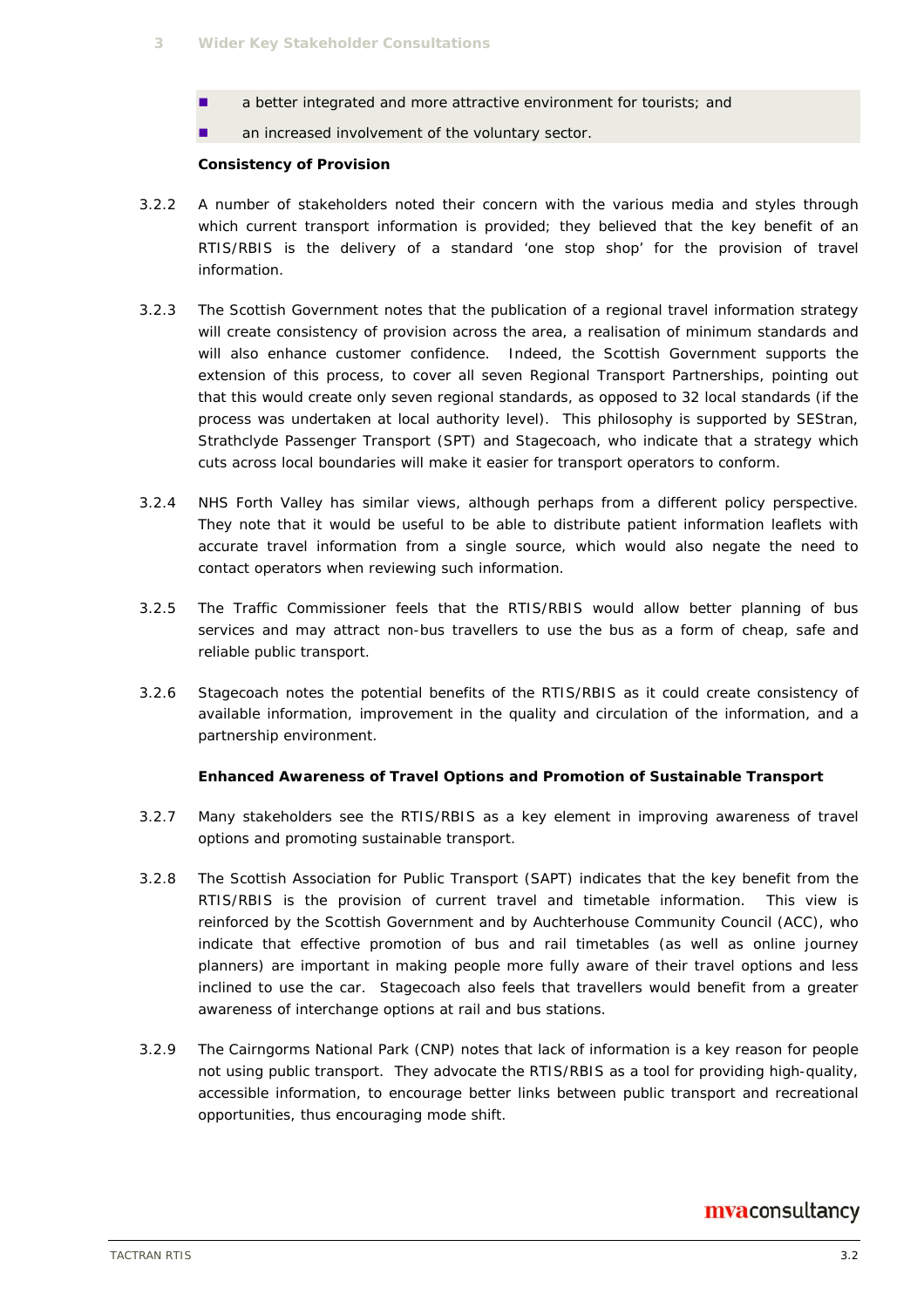- **a** better integrated and more attractive environment for tourists; and
- **an increased involvement of the voluntary sector.**

#### **Consistency of Provision**

- 3.2.2 A number of stakeholders noted their concern with the various media and styles through which current transport information is provided; they believed that the key benefit of an RTIS/RBIS is the delivery of a standard 'one stop shop' for the provision of travel information.
- 3.2.3 The Scottish Government notes that the publication of a regional travel information strategy will create consistency of provision across the area, a realisation of minimum standards and will also enhance customer confidence. Indeed, the Scottish Government supports the extension of this process, to cover all seven Regional Transport Partnerships, pointing out that this would create only seven regional standards, as opposed to 32 local standards (if the process was undertaken at local authority level). This philosophy is supported by SEStran, Strathclyde Passenger Transport (SPT) and Stagecoach, who indicate that a strategy which cuts across local boundaries will make it easier for transport operators to conform.
- 3.2.4 NHS Forth Valley has similar views, although perhaps from a different policy perspective. They note that it would be useful to be able to distribute patient information leaflets with accurate travel information from a single source, which would also negate the need to contact operators when reviewing such information.
- 3.2.5 The Traffic Commissioner feels that the RTIS/RBIS would allow better planning of bus services and may attract non-bus travellers to use the bus as a form of cheap, safe and reliable public transport.
- 3.2.6 Stagecoach notes the potential benefits of the RTIS/RBIS as it could create consistency of available information, improvement in the quality and circulation of the information, and a partnership environment.

#### **Enhanced Awareness of Travel Options and Promotion of Sustainable Transport**

- 3.2.7 Many stakeholders see the RTIS/RBIS as a key element in improving awareness of travel options and promoting sustainable transport.
- 3.2.8 The Scottish Association for Public Transport (SAPT) indicates that the key benefit from the RTIS/RBIS is the provision of current travel and timetable information. This view is reinforced by the Scottish Government and by Auchterhouse Community Council (ACC), who indicate that effective promotion of bus and rail timetables (as well as online journey planners) are important in making people more fully aware of their travel options and less inclined to use the car. Stagecoach also feels that travellers would benefit from a greater awareness of interchange options at rail and bus stations.
- 3.2.9 The Cairngorms National Park (CNP) notes that lack of information is a key reason for people not using public transport. They advocate the RTIS/RBIS as a tool for providing high-quality, accessible information, to encourage better links between public transport and recreational opportunities, thus encouraging mode shift.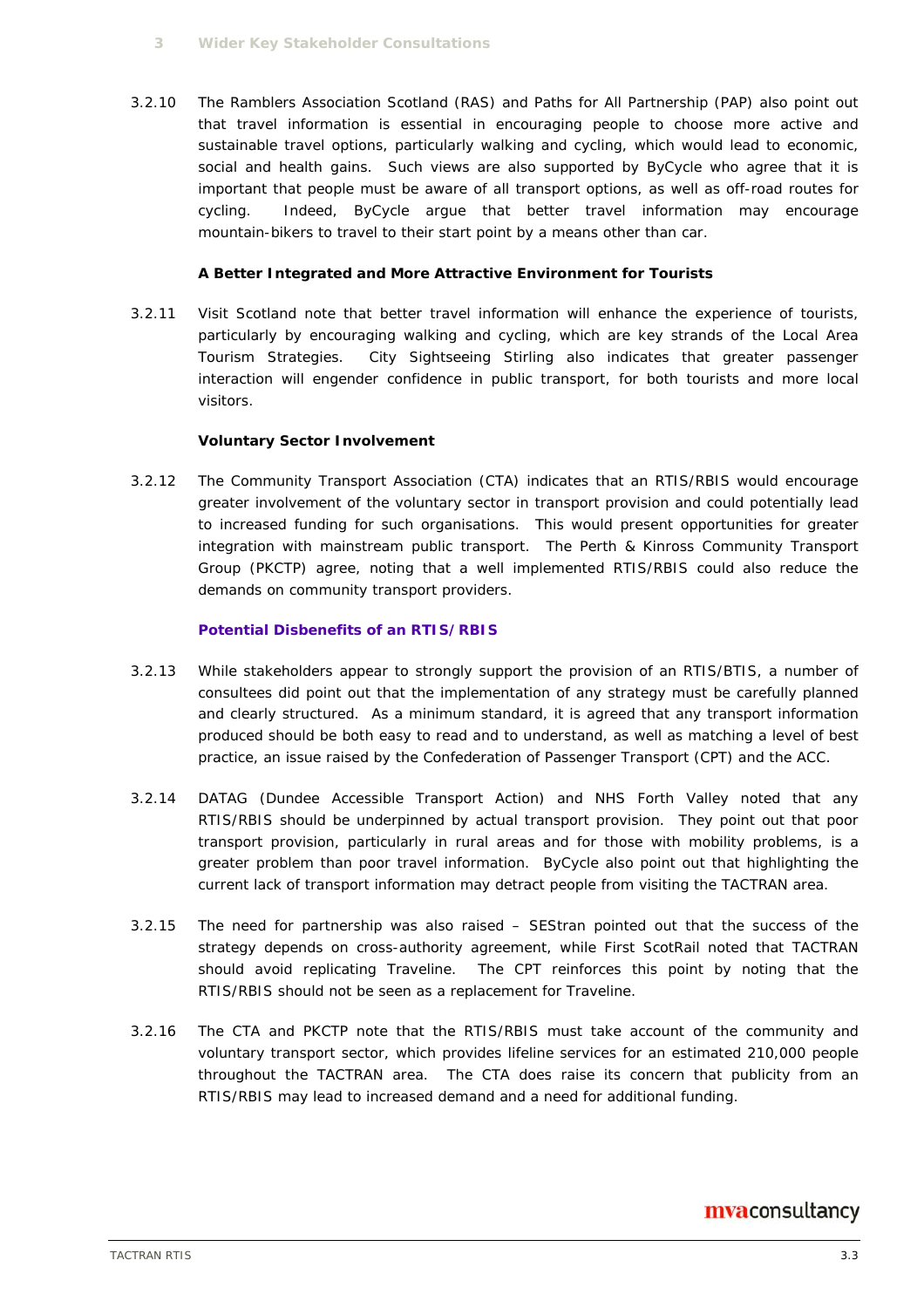3.2.10 The Ramblers Association Scotland (RAS) and Paths for All Partnership (PAP) also point out that travel information is essential in encouraging people to choose more active and sustainable travel options, particularly walking and cycling, which would lead to economic, social and health gains. Such views are also supported by ByCycle who agree that it is important that people must be aware of all transport options, as well as off-road routes for cycling. Indeed, ByCycle argue that better travel information may encourage mountain-bikers to travel to their start point by a means other than car.

#### **A Better Integrated and More Attractive Environment for Tourists**

3.2.11 Visit Scotland note that better travel information will enhance the experience of tourists, particularly by encouraging walking and cycling, which are key strands of the Local Area Tourism Strategies. City Sightseeing Stirling also indicates that greater passenger interaction will engender confidence in public transport, for both tourists and more local visitors.

#### **Voluntary Sector Involvement**

3.2.12 The Community Transport Association (CTA) indicates that an RTIS/RBIS would encourage greater involvement of the voluntary sector in transport provision and could potentially lead to increased funding for such organisations. This would present opportunities for greater integration with mainstream public transport. The Perth & Kinross Community Transport Group (PKCTP) agree, noting that a well implemented RTIS/RBIS could also reduce the demands on community transport providers.

#### **Potential Disbenefits of an RTIS/RBIS**

- 3.2.13 While stakeholders appear to strongly support the provision of an RTIS/BTIS, a number of consultees did point out that the implementation of any strategy must be carefully planned and clearly structured. As a minimum standard, it is agreed that any transport information produced should be both easy to read and to understand, as well as matching a level of best practice, an issue raised by the Confederation of Passenger Transport (CPT) and the ACC.
- 3.2.14 DATAG (Dundee Accessible Transport Action) and NHS Forth Valley noted that any RTIS/RBIS should be underpinned by actual transport provision. They point out that poor transport provision, particularly in rural areas and for those with mobility problems, is a greater problem than poor travel information. ByCycle also point out that highlighting the current lack of transport information may detract people from visiting the TACTRAN area.
- 3.2.15 The need for partnership was also raised SEStran pointed out that the success of the strategy depends on cross-authority agreement, while First ScotRail noted that TACTRAN should avoid replicating Traveline. The CPT reinforces this point by noting that the RTIS/RBIS should not be seen as a replacement for Traveline.
- 3.2.16 The CTA and PKCTP note that the RTIS/RBIS must take account of the community and voluntary transport sector, which provides lifeline services for an estimated 210,000 people throughout the TACTRAN area. The CTA does raise its concern that publicity from an RTIS/RBIS may lead to increased demand and a need for additional funding.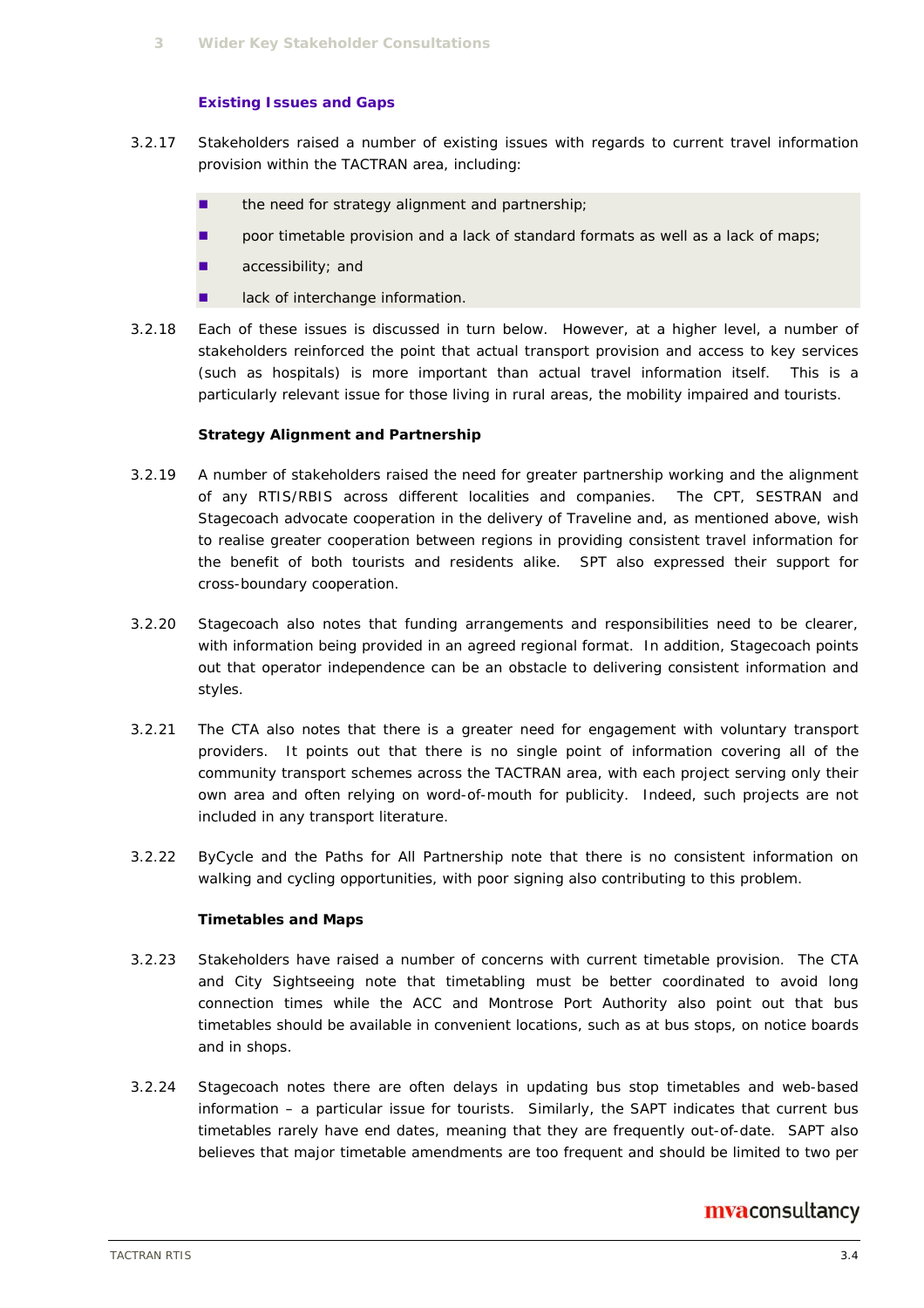#### **Existing Issues and Gaps**

- 3.2.17 Stakeholders raised a number of existing issues with regards to current travel information provision within the TACTRAN area, including:
	- the need for strategy alignment and partnership;
	- **n** poor timetable provision and a lack of standard formats as well as a lack of maps;
	- accessibility; and
	- lack of interchange information.
- 3.2.18 Each of these issues is discussed in turn below. However, at a higher level, a number of stakeholders reinforced the point that actual transport provision and access to key services (such as hospitals) is more important than actual travel information itself. This is a particularly relevant issue for those living in rural areas, the mobility impaired and tourists.

#### **Strategy Alignment and Partnership**

- 3.2.19 A number of stakeholders raised the need for greater partnership working and the alignment of any RTIS/RBIS across different localities and companies. The CPT, SESTRAN and Stagecoach advocate cooperation in the delivery of Traveline and, as mentioned above, wish to realise greater cooperation between regions in providing consistent travel information for the benefit of both tourists and residents alike. SPT also expressed their support for cross-boundary cooperation.
- 3.2.20 Stagecoach also notes that funding arrangements and responsibilities need to be clearer, with information being provided in an agreed regional format. In addition, Stagecoach points out that operator independence can be an obstacle to delivering consistent information and styles.
- 3.2.21 The CTA also notes that there is a greater need for engagement with voluntary transport providers. It points out that there is no single point of information covering all of the community transport schemes across the TACTRAN area, with each project serving only their own area and often relying on word-of-mouth for publicity. Indeed, such projects are not included in any transport literature.
- 3.2.22 ByCycle and the Paths for All Partnership note that there is no consistent information on walking and cycling opportunities, with poor signing also contributing to this problem.

#### **Timetables and Maps**

- 3.2.23 Stakeholders have raised a number of concerns with current timetable provision. The CTA and City Sightseeing note that timetabling must be better coordinated to avoid long connection times while the ACC and Montrose Port Authority also point out that bus timetables should be available in convenient locations, such as at bus stops, on notice boards and in shops.
- 3.2.24 Stagecoach notes there are often delays in updating bus stop timetables and web-based information – a particular issue for tourists. Similarly, the SAPT indicates that current bus timetables rarely have end dates, meaning that they are frequently out-of-date. SAPT also believes that major timetable amendments are too frequent and should be limited to two per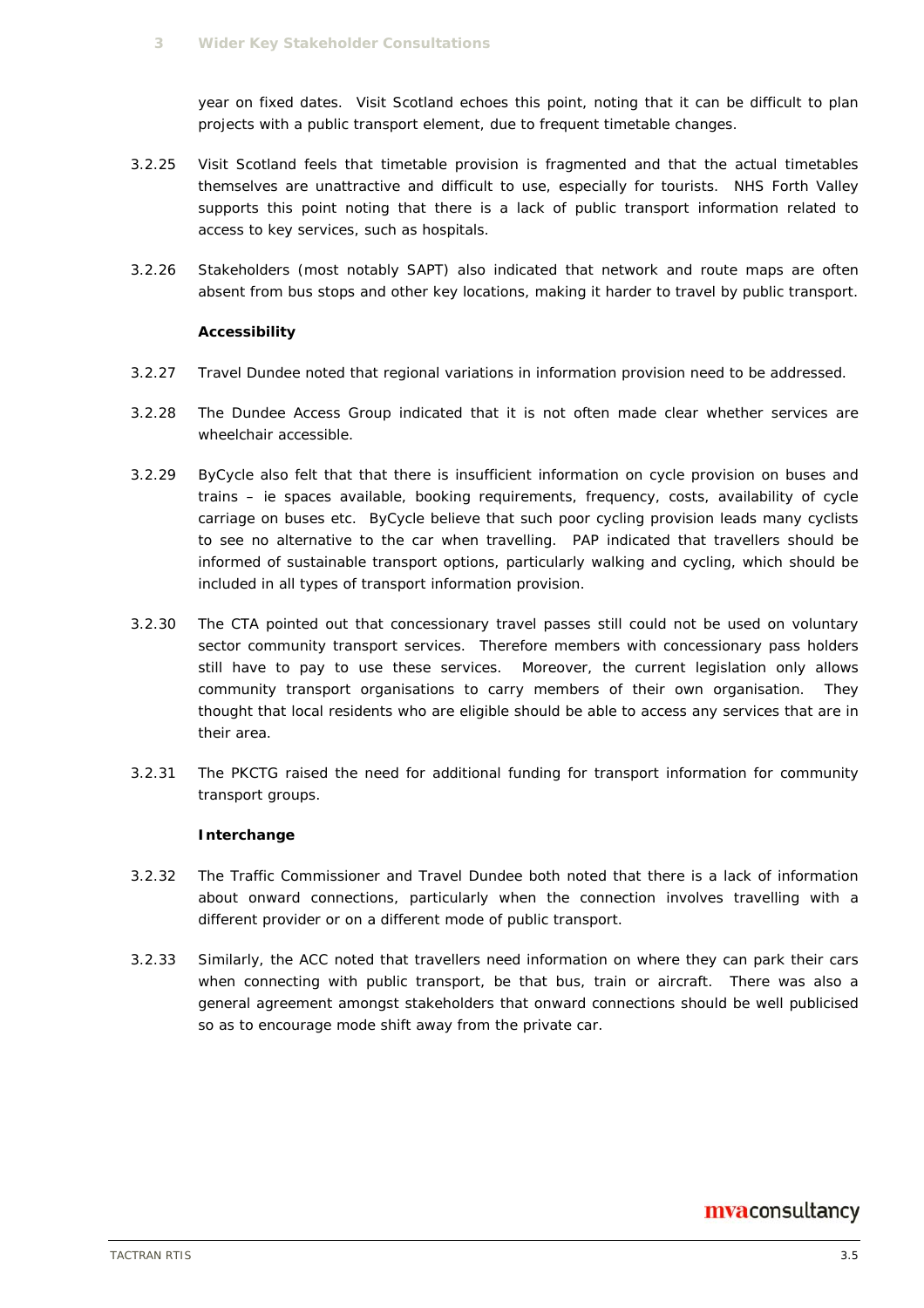year on fixed dates. Visit Scotland echoes this point, noting that it can be difficult to plan projects with a public transport element, due to frequent timetable changes.

- 3.2.25 Visit Scotland feels that timetable provision is fragmented and that the actual timetables themselves are unattractive and difficult to use, especially for tourists. NHS Forth Valley supports this point noting that there is a lack of public transport information related to access to key services, such as hospitals.
- 3.2.26 Stakeholders (most notably SAPT) also indicated that network and route maps are often absent from bus stops and other key locations, making it harder to travel by public transport.

#### **Accessibility**

- 3.2.27 Travel Dundee noted that regional variations in information provision need to be addressed.
- 3.2.28 The Dundee Access Group indicated that it is not often made clear whether services are wheelchair accessible.
- 3.2.29 ByCycle also felt that that there is insufficient information on cycle provision on buses and trains – ie spaces available, booking requirements, frequency, costs, availability of cycle carriage on buses etc. ByCycle believe that such poor cycling provision leads many cyclists to see no alternative to the car when travelling. PAP indicated that travellers should be informed of sustainable transport options, particularly walking and cycling, which should be included in all types of transport information provision.
- 3.2.30 The CTA pointed out that concessionary travel passes still could not be used on voluntary sector community transport services. Therefore members with concessionary pass holders still have to pay to use these services. Moreover, the current legislation only allows community transport organisations to carry members of their own organisation. They thought that local residents who are eligible should be able to access any services that are in their area.
- 3.2.31 The PKCTG raised the need for additional funding for transport information for community transport groups.

#### **Interchange**

- 3.2.32 The Traffic Commissioner and Travel Dundee both noted that there is a lack of information about onward connections, particularly when the connection involves travelling with a different provider or on a different mode of public transport.
- 3.2.33 Similarly, the ACC noted that travellers need information on where they can park their cars when connecting with public transport, be that bus, train or aircraft. There was also a general agreement amongst stakeholders that onward connections should be well publicised so as to encourage mode shift away from the private car.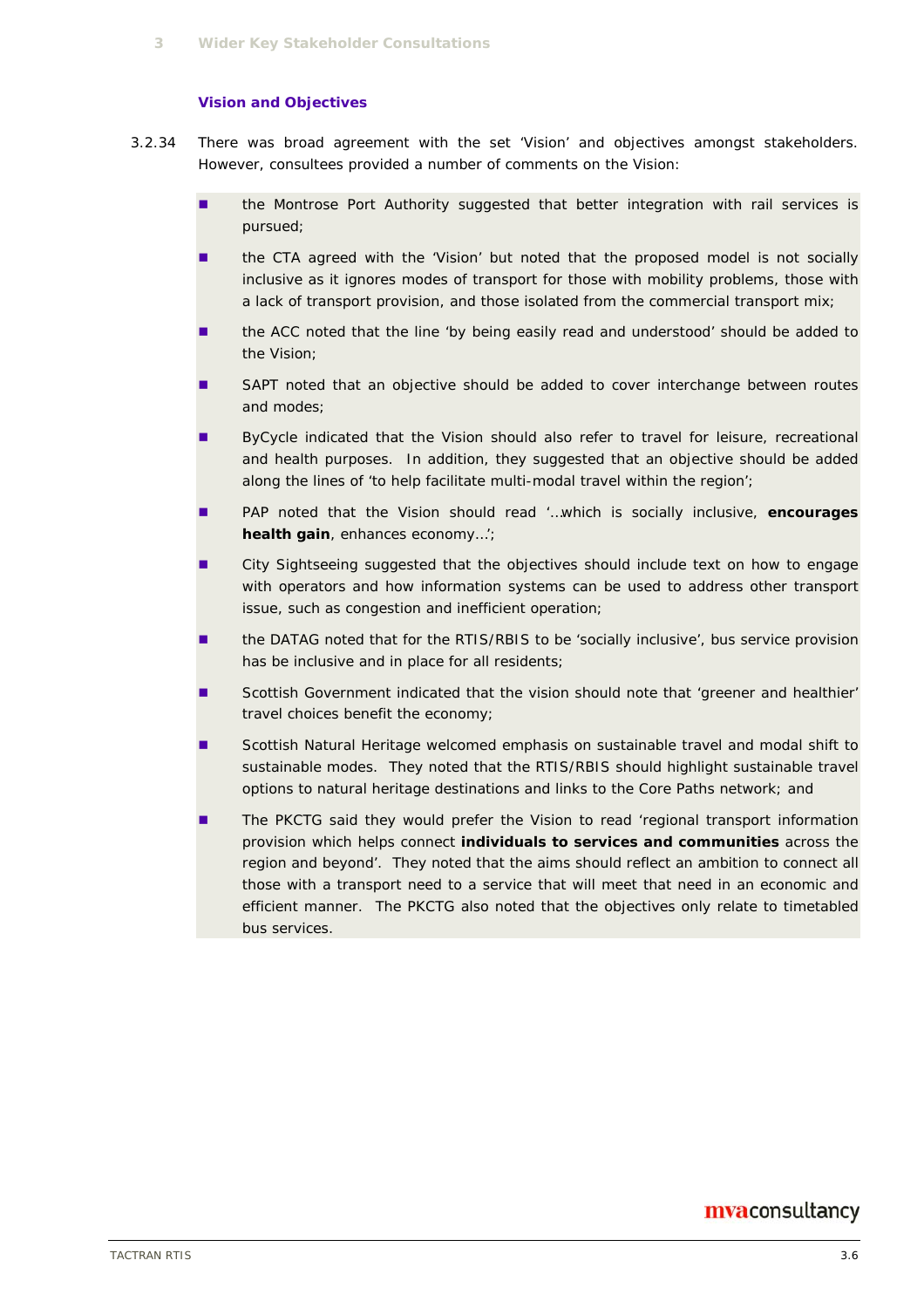#### **Vision and Objectives**

- 3.2.34 There was broad agreement with the set 'Vision' and objectives amongst stakeholders. However, consultees provided a number of comments on the Vision:
	- **In the Montrose Port Authority suggested that better integration with rail services is** pursued;
	- the CTA agreed with the 'Vision' but noted that the proposed model is not socially inclusive as it ignores modes of transport for those with mobility problems, those with a lack of transport provision, and those isolated from the commercial transport mix;
	- the ACC noted that the line 'by being easily read and understood' should be added to the Vision;
	- SAPT noted that an objective should be added to cover interchange between routes and modes;
	- ByCycle indicated that the Vision should also refer to travel for leisure, recreational and health purposes. In addition, they suggested that an objective should be added along the lines of 'to help facilitate multi-modal travel within the region';
	- PAP noted that the Vision should read '…which is socially inclusive, **encourages health gain**, enhances economy…';
	- **EXECT** City Sightseeing suggested that the objectives should include text on how to engage with operators and how information systems can be used to address other transport issue, such as congestion and inefficient operation;
	- the DATAG noted that for the RTIS/RBIS to be 'socially inclusive', bus service provision has be inclusive and in place for all residents;
	- Scottish Government indicated that the vision should note that 'greener and healthier' travel choices benefit the economy;
	- Scottish Natural Heritage welcomed emphasis on sustainable travel and modal shift to sustainable modes. They noted that the RTIS/RBIS should highlight sustainable travel options to natural heritage destinations and links to the Core Paths network; and
	- The PKCTG said they would prefer the Vision to read 'regional transport information provision which helps connect **individuals to services and communities** across the region and beyond'. They noted that the aims should reflect an ambition to connect all those with a transport need to a service that will meet that need in an economic and efficient manner. The PKCTG also noted that the objectives only relate to timetabled bus services.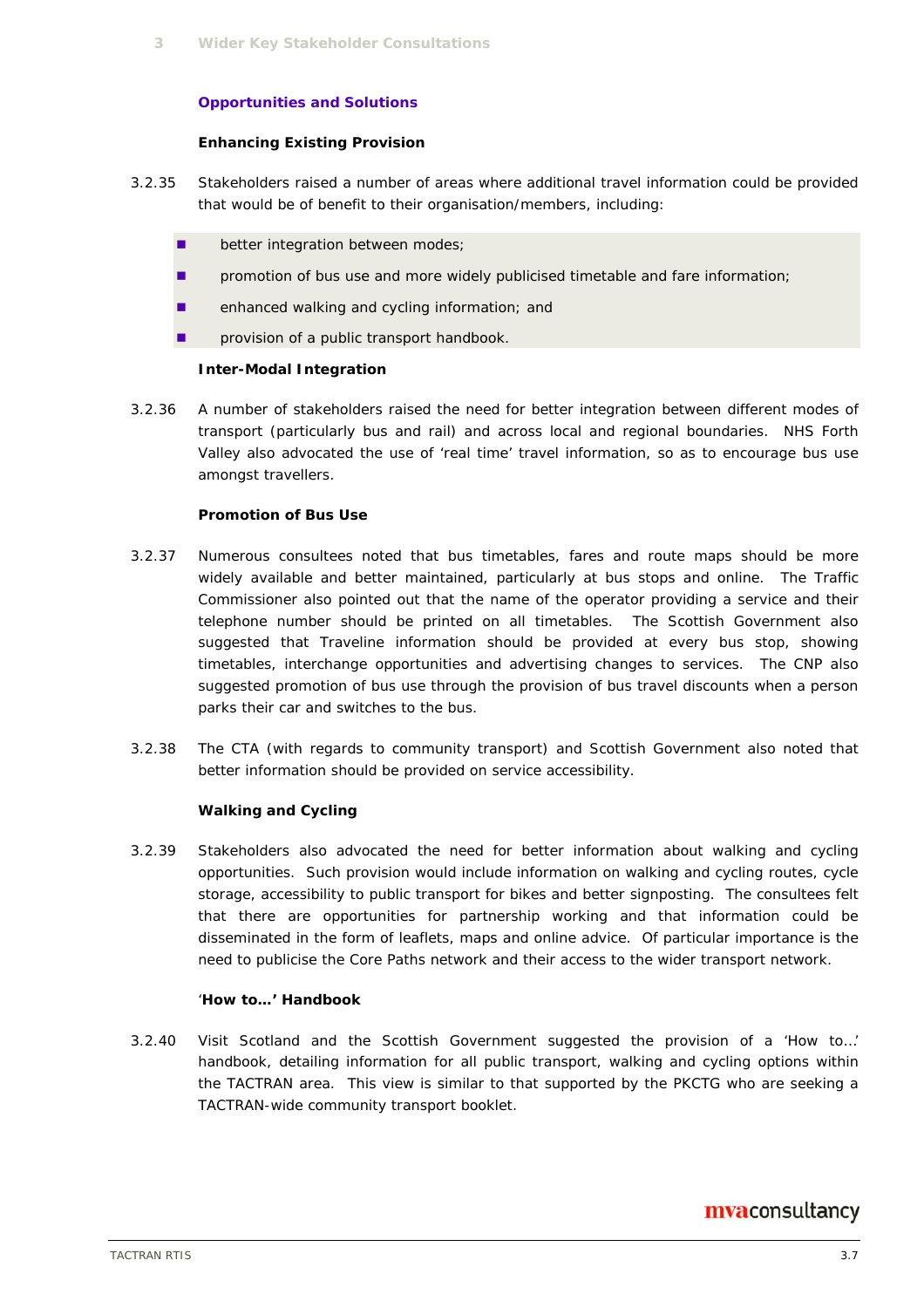#### **Opportunities and Solutions**

#### **Enhancing Existing Provision**

- 3.2.35 Stakeholders raised a number of areas where additional travel information could be provided that would be of benefit to their organisation/members, including:
	- **better integration between modes;**
	- **P** promotion of bus use and more widely publicised timetable and fare information;
	- **E** enhanced walking and cycling information; and
	- **n** provision of a public transport handbook.

#### **Inter-Modal Integration**

3.2.36 A number of stakeholders raised the need for better integration between different modes of transport (particularly bus and rail) and across local and regional boundaries. NHS Forth Valley also advocated the use of 'real time' travel information, so as to encourage bus use amongst travellers.

#### **Promotion of Bus Use**

- 3.2.37 Numerous consultees noted that bus timetables, fares and route maps should be more widely available and better maintained, particularly at bus stops and online. The Traffic Commissioner also pointed out that the name of the operator providing a service and their telephone number should be printed on all timetables. The Scottish Government also suggested that Traveline information should be provided at every bus stop, showing timetables, interchange opportunities and advertising changes to services. The CNP also suggested promotion of bus use through the provision of bus travel discounts when a person parks their car and switches to the bus.
- 3.2.38 The CTA (with regards to community transport) and Scottish Government also noted that better information should be provided on service accessibility.

#### **Walking and Cycling**

3.2.39 Stakeholders also advocated the need for better information about walking and cycling opportunities. Such provision would include information on walking and cycling routes, cycle storage, accessibility to public transport for bikes and better signposting. The consultees felt that there are opportunities for partnership working and that information could be disseminated in the form of leaflets, maps and online advice. Of particular importance is the need to publicise the Core Paths network and their access to the wider transport network.

#### '**How to…' Handbook**

3.2.40 Visit Scotland and the Scottish Government suggested the provision of a 'How to…' handbook, detailing information for all public transport, walking and cycling options within the TACTRAN area. This view is similar to that supported by the PKCTG who are seeking a TACTRAN-wide community transport booklet.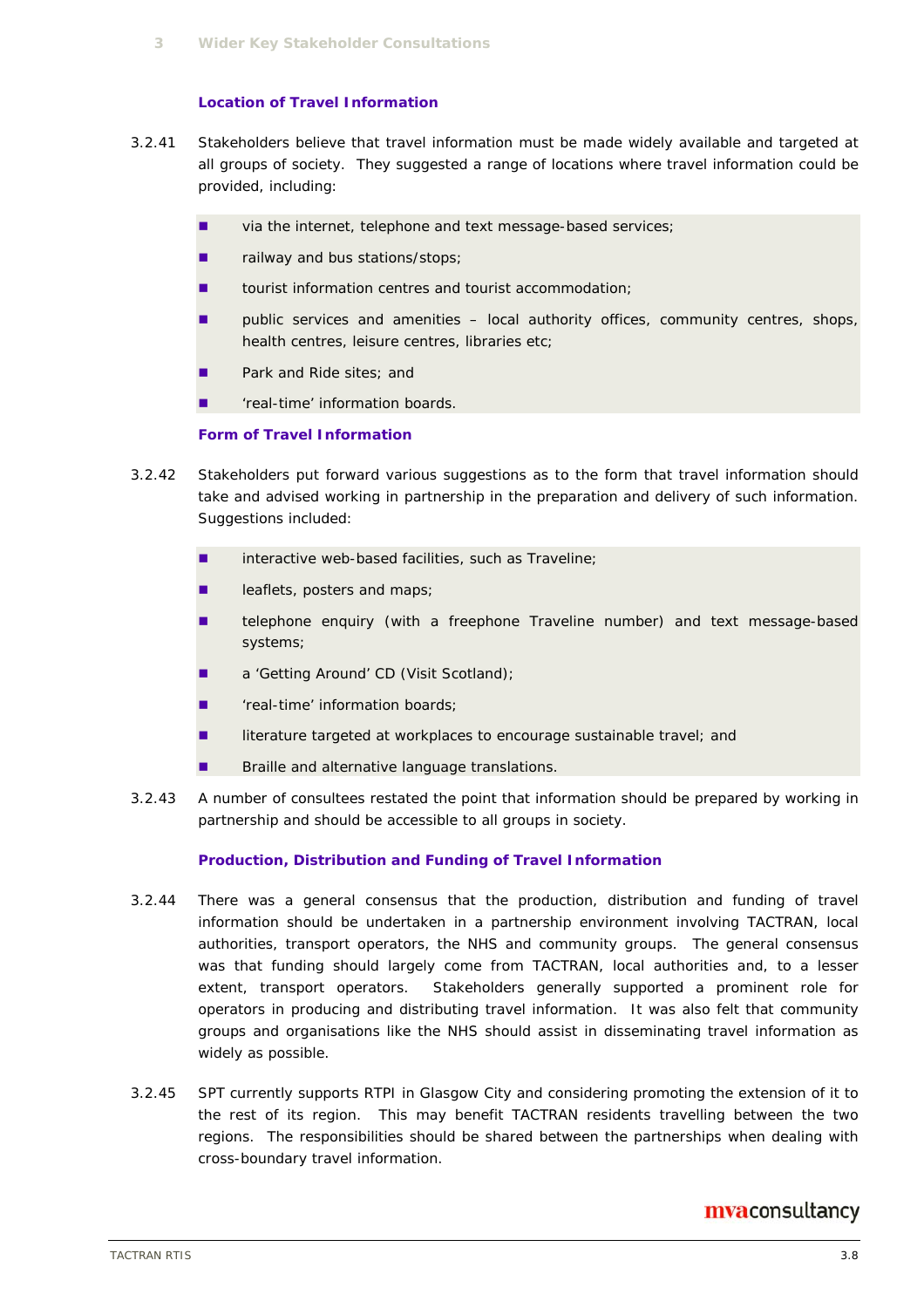#### **Location of Travel Information**

- 3.2.41 Stakeholders believe that travel information must be made widely available and targeted at all groups of society. They suggested a range of locations where travel information could be provided, including:
	- via the internet, telephone and text message-based services;
	- **Failway and bus stations/stops;**
	- tourist information centres and tourist accommodation;
	- public services and amenities local authority offices, community centres, shops, health centres, leisure centres, libraries etc;
	- Park and Ride sites; and
	- **T** 'real-time' information boards

#### **Form of Travel Information**

- 3.2.42 Stakeholders put forward various suggestions as to the form that travel information should take and advised working in partnership in the preparation and delivery of such information. Suggestions included:
	- $\blacksquare$  interactive web-based facilities, such as Traveline;
	- **leaflets, posters and maps;**
	- **EXEC** telephone enquiry (with a freephone Traveline number) and text message-based systems;
	- a 'Getting Around' CD (Visit Scotland);
	- **T** 'real-time' information boards;
	- literature targeted at workplaces to encourage sustainable travel; and
	- **Braille and alternative language translations.**
- 3.2.43 A number of consultees restated the point that information should be prepared by working in partnership and should be accessible to all groups in society.

#### **Production, Distribution and Funding of Travel Information**

- 3.2.44 There was a general consensus that the production, distribution and funding of travel information should be undertaken in a partnership environment involving TACTRAN, local authorities, transport operators, the NHS and community groups. The general consensus was that funding should largely come from TACTRAN, local authorities and, to a lesser extent, transport operators. Stakeholders generally supported a prominent role for operators in producing and distributing travel information. It was also felt that community groups and organisations like the NHS should assist in disseminating travel information as widely as possible.
- 3.2.45 SPT currently supports RTPI in Glasgow City and considering promoting the extension of it to the rest of its region. This may benefit TACTRAN residents travelling between the two regions. The responsibilities should be shared between the partnerships when dealing with cross-boundary travel information.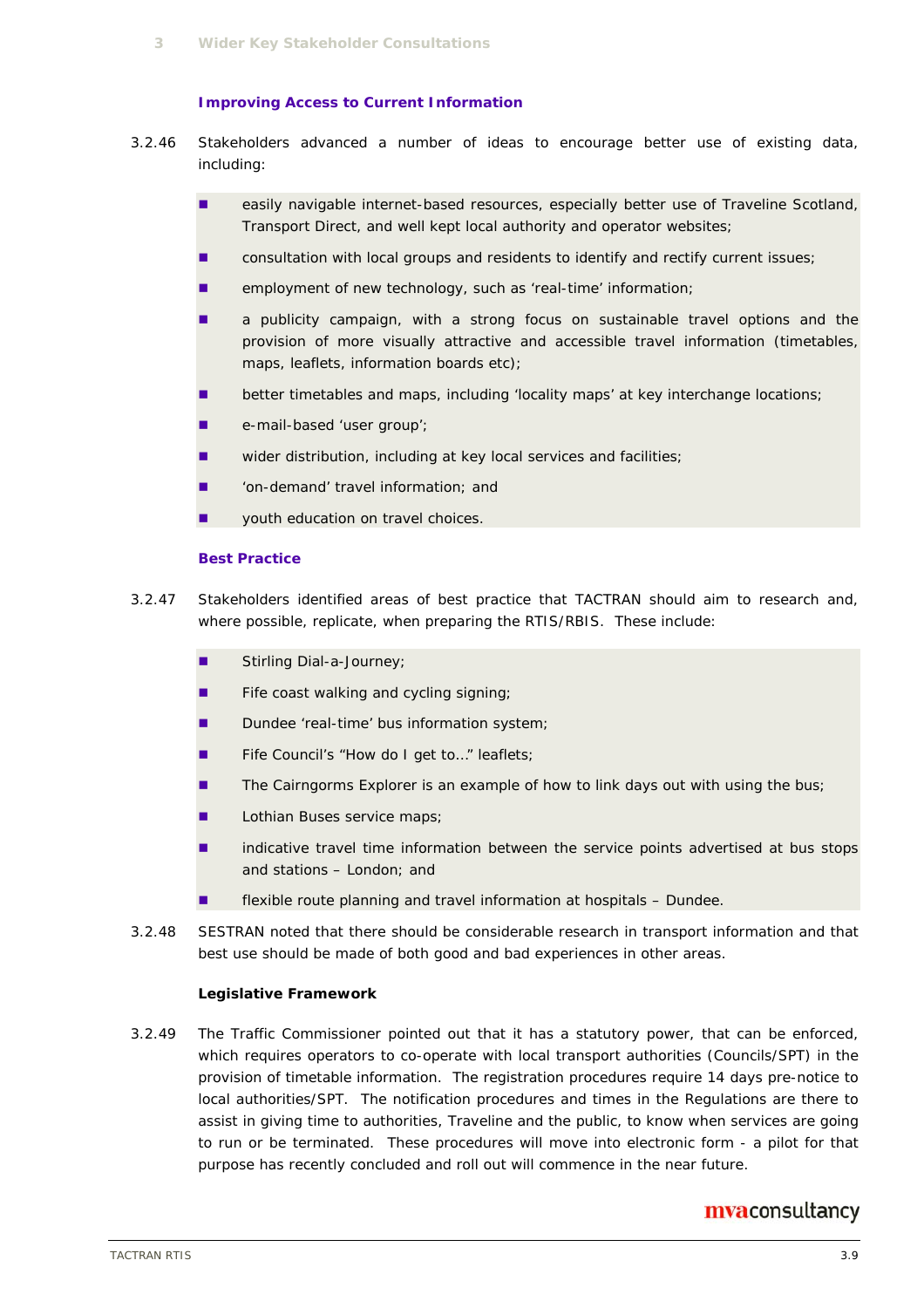#### **Improving Access to Current Information**

- 3.2.46 Stakeholders advanced a number of ideas to encourage better use of existing data, including:
	- **E** easily navigable internet-based resources, especially better use of Traveline Scotland, Transport Direct, and well kept local authority and operator websites;
	- consultation with local groups and residents to identify and rectify current issues;
	- employment of new technology, such as 'real-time' information;
	- a publicity campaign, with a strong focus on sustainable travel options and the provision of more visually attractive and accessible travel information (timetables, maps, leaflets, information boards etc);
	- **better timetables and maps, including 'locality maps' at key interchange locations;**
	- **e-mail-based 'user group';**
	- wider distribution, including at key local services and facilities;
	- 'on-demand' travel information; and
	- **u** youth education on travel choices.

#### **Best Practice**

- 3.2.47 Stakeholders identified areas of best practice that TACTRAN should aim to research and, where possible, replicate, when preparing the RTIS/RBIS. These include:
	- Stirling Dial-a-Journey;
	- $\blacksquare$  Fife coast walking and cycling signing;
	- Dundee 'real-time' bus information system;
	- Fife Council's "How do I get to..." leaflets;
	- The Cairngorms Explorer is an example of how to link days out with using the bus;
	- **Lathian Buses service maps;**
	- indicative travel time information between the service points advertised at bus stops and stations – London; and
	- **EXIDE FREXIST FIGUREY IN A THE VIOLET IS A THE VIOLET IN A THE PROPERTY FIGURE. EXIST** flexible roundee.
- 3.2.48 SESTRAN noted that there should be considerable research in transport information and that best use should be made of both good and bad experiences in other areas.

#### **Legislative Framework**

3.2.49 The Traffic Commissioner pointed out that it has a statutory power, that can be enforced, which requires operators to co-operate with local transport authorities (Councils/SPT) in the provision of timetable information. The registration procedures require 14 days pre-notice to local authorities/SPT. The notification procedures and times in the Regulations are there to assist in giving time to authorities, Traveline and the public, to know when services are going to run or be terminated. These procedures will move into electronic form - a pilot for that purpose has recently concluded and roll out will commence in the near future.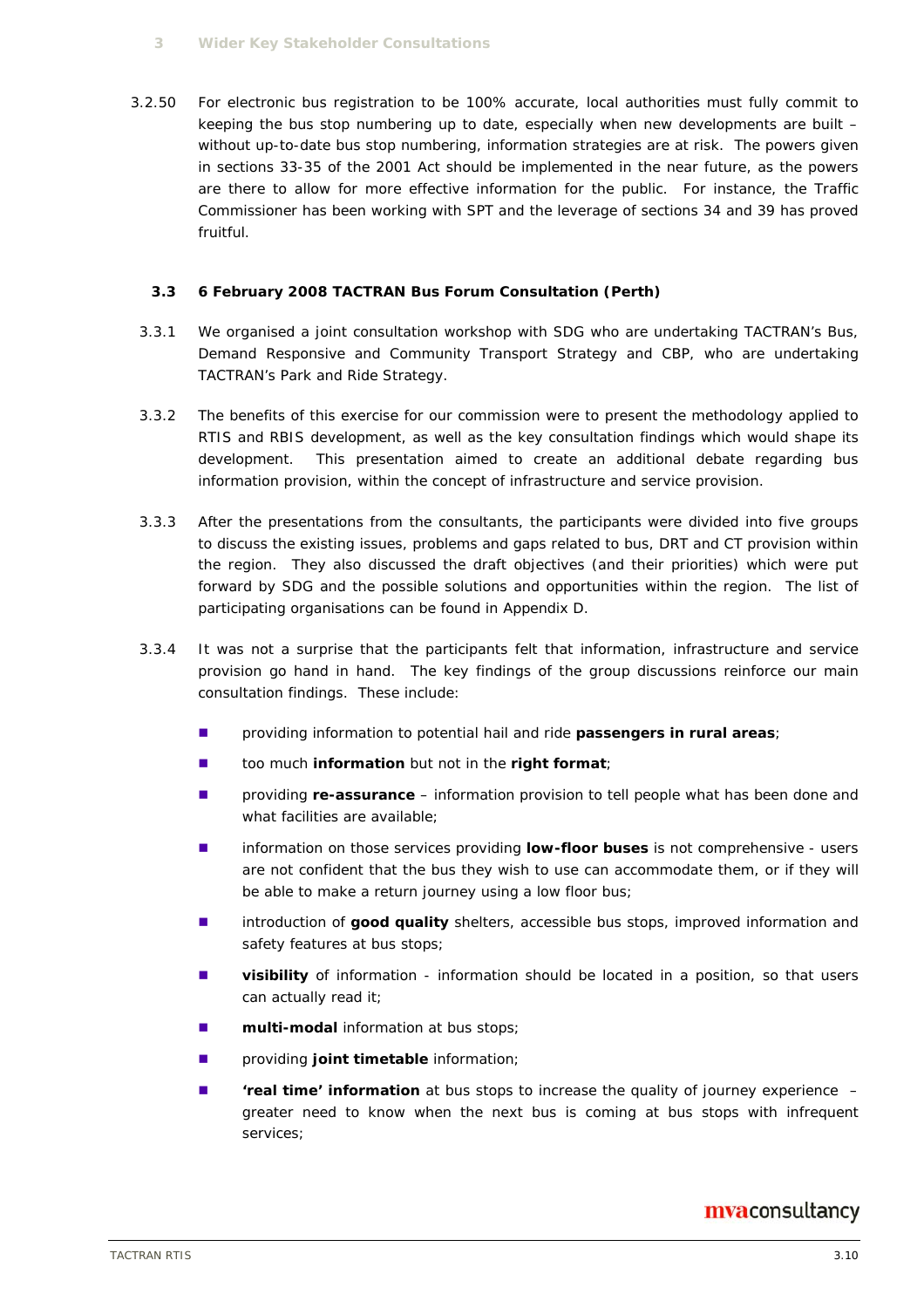#### **3 Wider Key Stakeholder Consultations**

3.2.50 For electronic bus registration to be 100% accurate, local authorities must fully commit to keeping the bus stop numbering up to date, especially when new developments are built – without up-to-date bus stop numbering, information strategies are at risk. The powers given in sections 33-35 of the 2001 Act should be implemented in the near future, as the powers are there to allow for more effective information for the public. For instance, the Traffic Commissioner has been working with SPT and the leverage of sections 34 and 39 has proved fruitful.

#### **3.3 6 February 2008 TACTRAN Bus Forum Consultation (Perth)**

- 3.3.1 We organised a joint consultation workshop with SDG who are undertaking TACTRAN's Bus, Demand Responsive and Community Transport Strategy and CBP, who are undertaking TACTRAN's Park and Ride Strategy.
- 3.3.2 The benefits of this exercise for our commission were to present the methodology applied to RTIS and RBIS development, as well as the key consultation findings which would shape its development. This presentation aimed to create an additional debate regarding bus information provision, within the concept of infrastructure and service provision.
- 3.3.3 After the presentations from the consultants, the participants were divided into five groups to discuss the existing issues, problems and gaps related to bus, DRT and CT provision within the region. They also discussed the draft objectives (and their priorities) which were put forward by SDG and the possible solutions and opportunities within the region. The list of participating organisations can be found in Appendix D.
- 3.3.4 It was not a surprise that the participants felt that information, infrastructure and service provision go hand in hand. The key findings of the group discussions reinforce our main consultation findings. These include:
	- providing information to potential hail and ride **passengers in rural areas**;
	- too much **information** but not in the **right format**;
	- providing **re-assurance** information provision to tell people what has been done and what facilities are available;
	- **I** information on those services providing **low-floor buses** is not comprehensive users are not confident that the bus they wish to use can accommodate them, or if they will be able to make a return journey using a low floor bus;
	- **Introduction of good quality** shelters, accessible bus stops, improved information and safety features at bus stops;
	- **u** visibility of information information should be located in a position, so that users can actually read it;
	- **multi-modal** information at bus stops;
	- **E** providing **joint timetable** information;
	- **treal time' information** at bus stops to increase the quality of journey experience greater need to know when the next bus is coming at bus stops with infrequent services;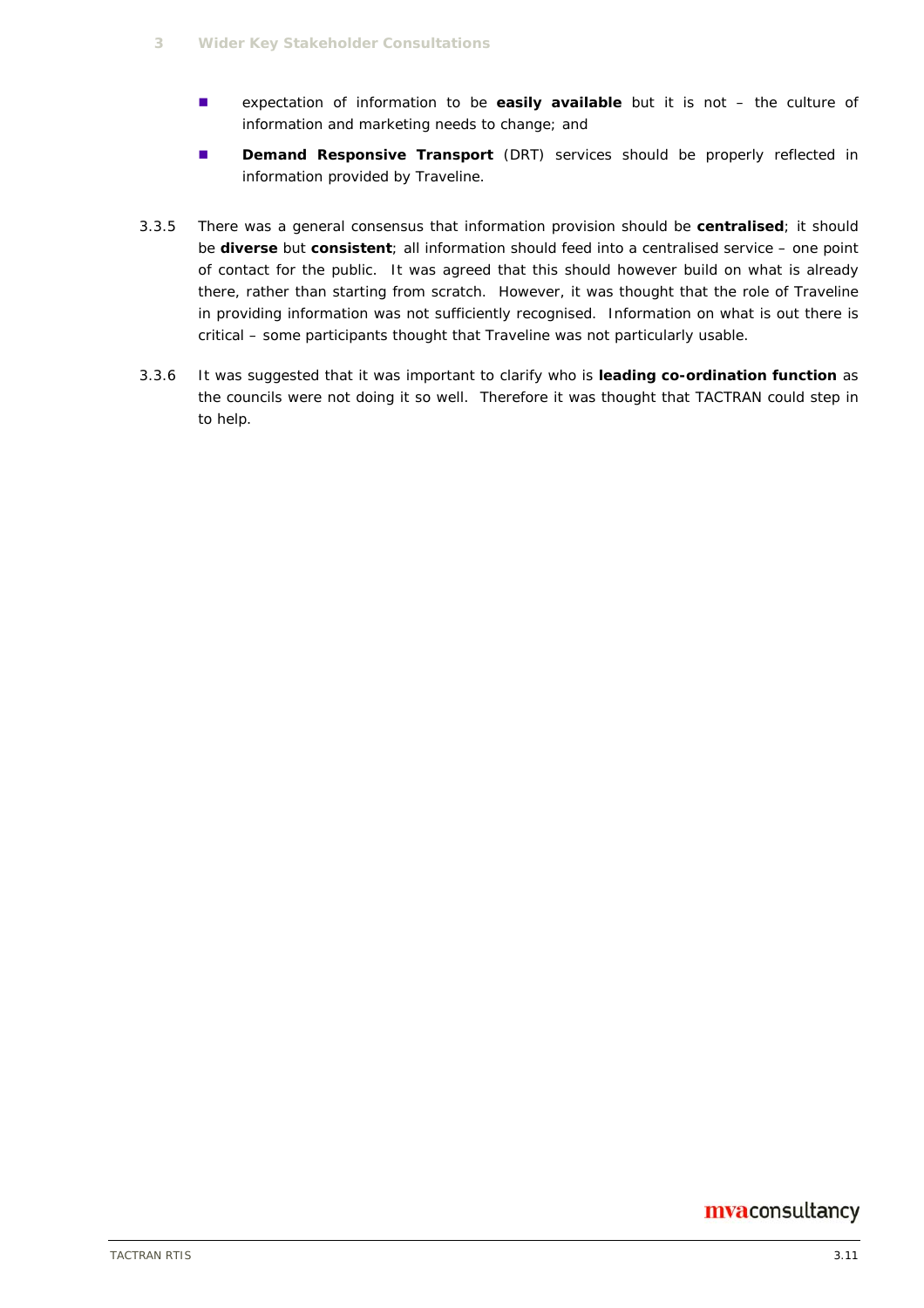- expectation of information to be **easily available** but it is not the culture of information and marketing needs to change; and
- **Demand Responsive Transport** (DRT) services should be properly reflected in information provided by Traveline.
- 3.3.5 There was a general consensus that information provision should be **centralised**; it should be **diverse** but **consistent**; all information should feed into a centralised service – one point of contact for the public. It was agreed that this should however build on what is already there, rather than starting from scratch. However, it was thought that the role of Traveline in providing information was not sufficiently recognised. Information on what is out there is critical – some participants thought that Traveline was not particularly usable.
- 3.3.6 It was suggested that it was important to clarify who is **leading co-ordination function** as the councils were not doing it so well. Therefore it was thought that TACTRAN could step in to help.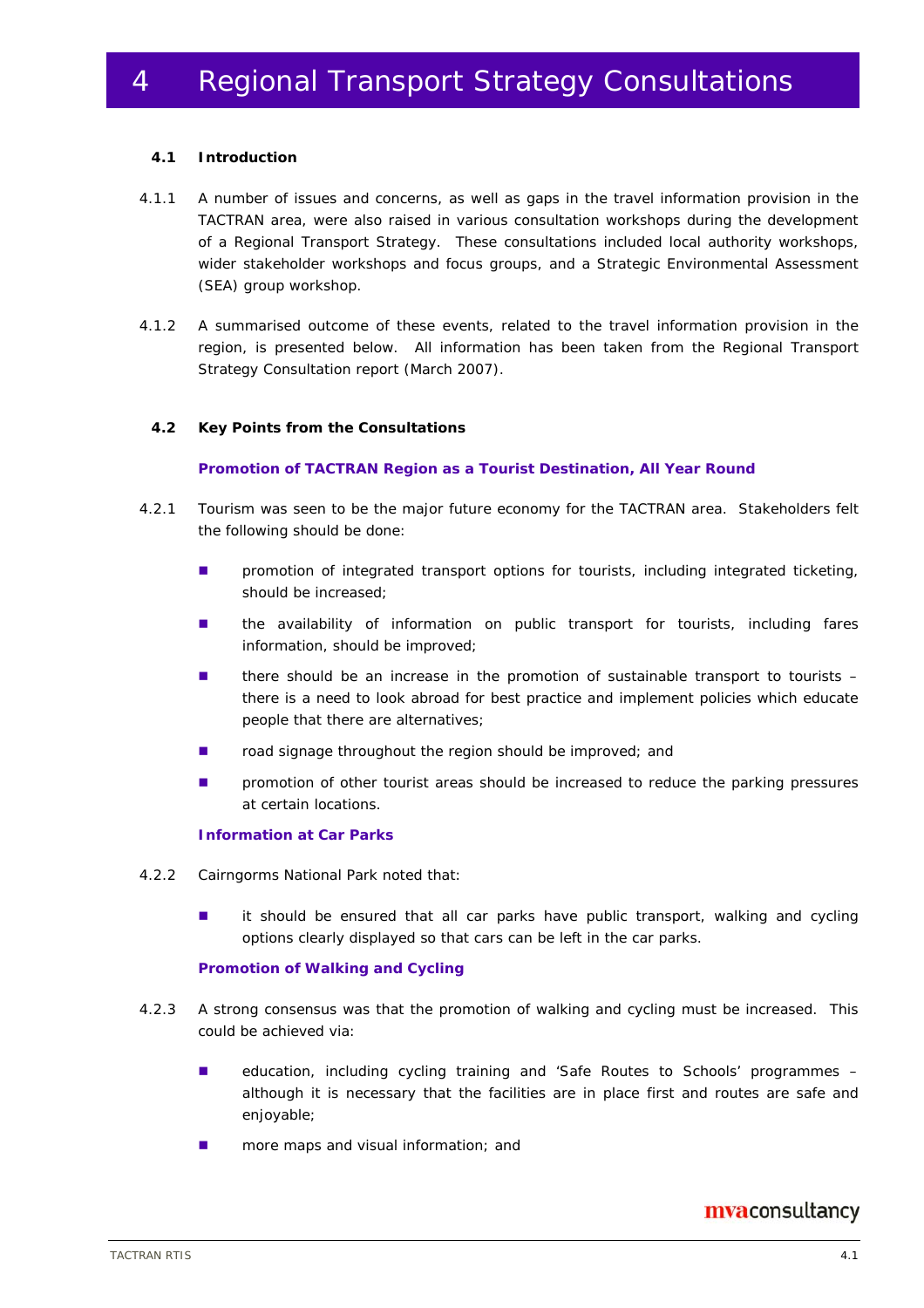#### **4.1 Introduction**

- 4.1.1 A number of issues and concerns, as well as gaps in the travel information provision in the TACTRAN area, were also raised in various consultation workshops during the development of a Regional Transport Strategy. These consultations included local authority workshops, wider stakeholder workshops and focus groups, and a Strategic Environmental Assessment (SEA) group workshop.
- 4.1.2 A summarised outcome of these events, related to the travel information provision in the region, is presented below. All information has been taken from the Regional Transport Strategy Consultation report (March 2007).

#### **4.2 Key Points from the Consultations**

#### **Promotion of TACTRAN Region as a Tourist Destination, All Year Round**

- 4.2.1 Tourism was seen to be the major future economy for the TACTRAN area. Stakeholders felt the following should be done:
	- **n** promotion of integrated transport options for tourists, including integrated ticketing, should be increased;
	- **In the availability of information on public transport for tourists, including fares** information, should be improved;
	- there should be an increase in the promotion of sustainable transport to tourists  $$ there is a need to look abroad for best practice and implement policies which educate people that there are alternatives;
	- road signage throughout the region should be improved; and
	- **n** promotion of other tourist areas should be increased to reduce the parking pressures at certain locations.

#### **Information at Car Parks**

- 4.2.2 Cairngorms National Park noted that:
	- **i** it should be ensured that all car parks have public transport, walking and cycling options clearly displayed so that cars can be left in the car parks.

#### **Promotion of Walking and Cycling**

- 4.2.3 A strong consensus was that the promotion of walking and cycling must be increased. This could be achieved via:
	- education, including cycling training and 'Safe Routes to Schools' programmes although it is necessary that the facilities are in place first and routes are safe and enjoyable;
	- **n** more maps and visual information; and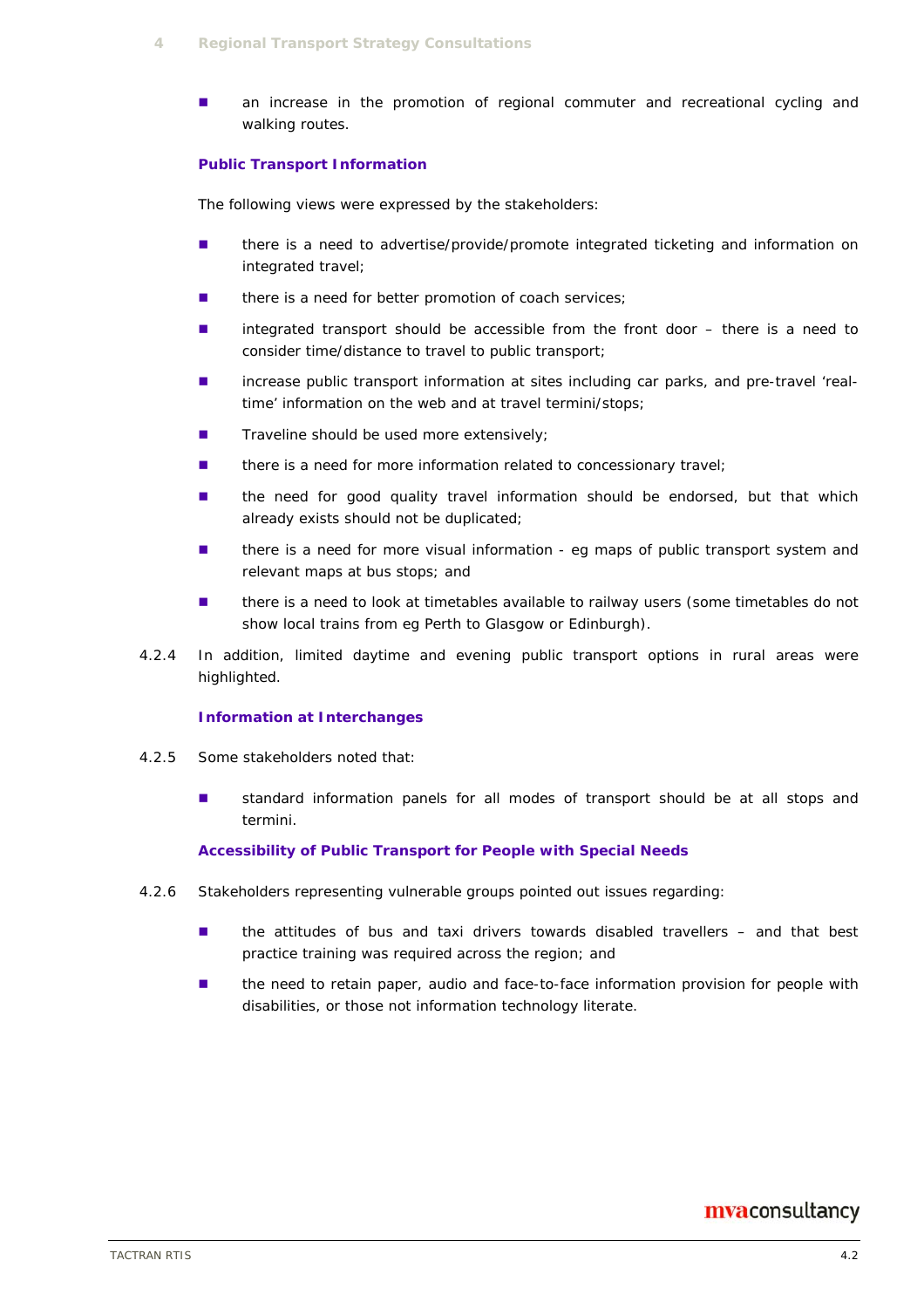**an increase in the promotion of regional commuter and recreational cycling and** walking routes.

#### **Public Transport Information**

The following views were expressed by the stakeholders:

- **there is a need to advertise/provide/promote integrated ticketing and information on** integrated travel;
- there is a need for better promotion of coach services;
- integrated transport should be accessible from the front door there is a need to consider time/distance to travel to public transport;
- increase public transport information at sites including car parks, and pre-travel 'realtime' information on the web and at travel termini/stops;
- $\blacksquare$  Traveline should be used more extensively;
- there is a need for more information related to concessionary travel;
- **In the need for good quality travel information should be endorsed, but that which** already exists should not be duplicated;
- **there is a need for more visual information eg maps of public transport system and** relevant maps at bus stops; and
- there is a need to look at timetables available to railway users (some timetables do not show local trains from eg Perth to Glasgow or Edinburgh).
- 4.2.4 In addition, limited daytime and evening public transport options in rural areas were highlighted.

#### **Information at Interchanges**

- 4.2.5 Some stakeholders noted that:
	- standard information panels for all modes of transport should be at all stops and termini.

#### **Accessibility of Public Transport for People with Special Needs**

- 4.2.6 Stakeholders representing vulnerable groups pointed out issues regarding:
	- $\blacksquare$  the attitudes of bus and taxi drivers towards disabled travellers and that best practice training was required across the region; and
	- **the need to retain paper, audio and face-to-face information provision for people with** disabilities, or those not information technology literate.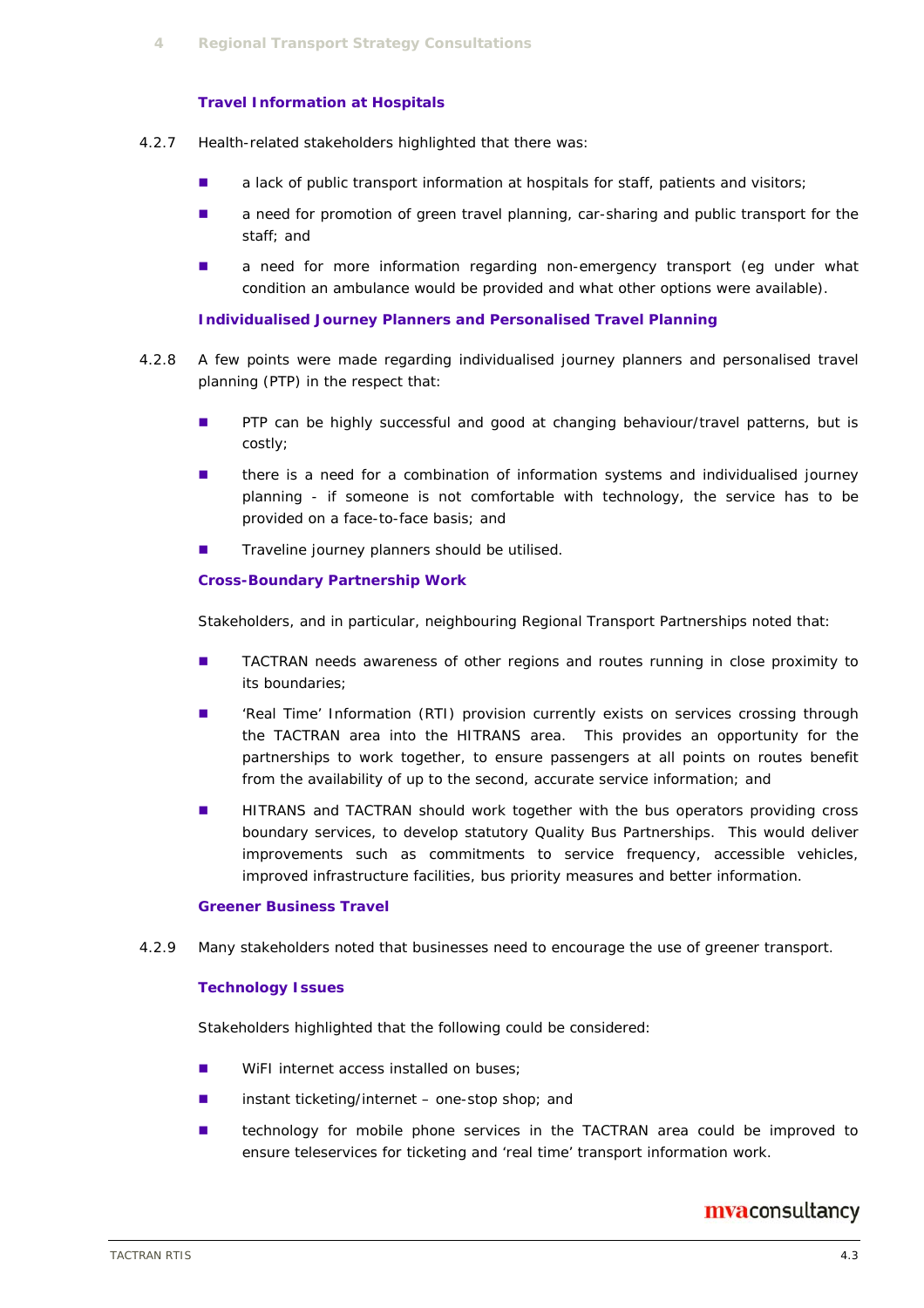#### **Travel Information at Hospitals**

- 4.2.7 Health-related stakeholders highlighted that there was:
	- **a** lack of public transport information at hospitals for staff, patients and visitors;
	- **a** need for promotion of green travel planning, car-sharing and public transport for the staff; and
	- **a** need for more information regarding non-emergency transport (eg under what condition an ambulance would be provided and what other options were available).

#### **Individualised Journey Planners and Personalised Travel Planning**

- 4.2.8 A few points were made regarding individualised journey planners and personalised travel planning (PTP) in the respect that:
	- **PTP** can be highly successful and good at changing behaviour/travel patterns, but is costly;
	- **there is a need for a combination of information systems and individualised journey** planning - if someone is not comfortable with technology, the service has to be provided on a face-to-face basis; and
	- $\blacksquare$  Traveline journey planners should be utilised.

#### **Cross-Boundary Partnership Work**

Stakeholders, and in particular, neighbouring Regional Transport Partnerships noted that:

- **TACTRAN needs awareness of other regions and routes running in close proximity to** its boundaries;
- **EXECT:** 'Real Time' Information (RTI) provision currently exists on services crossing through the TACTRAN area into the HITRANS area. This provides an opportunity for the partnerships to work together, to ensure passengers at all points on routes benefit from the availability of up to the second, accurate service information; and
- **HITRANS** and TACTRAN should work together with the bus operators providing cross boundary services, to develop statutory Quality Bus Partnerships. This would deliver improvements such as commitments to service frequency, accessible vehicles, improved infrastructure facilities, bus priority measures and better information.

#### **Greener Business Travel**

4.2.9 Many stakeholders noted that businesses need to encourage the use of greener transport.

#### **Technology Issues**

Stakeholders highlighted that the following could be considered:

- **NO** WiFI internet access installed on buses;
- $\blacksquare$  instant ticketing/internet one-stop shop; and
- **E** technology for mobile phone services in the TACTRAN area could be improved to ensure teleservices for ticketing and 'real time' transport information work.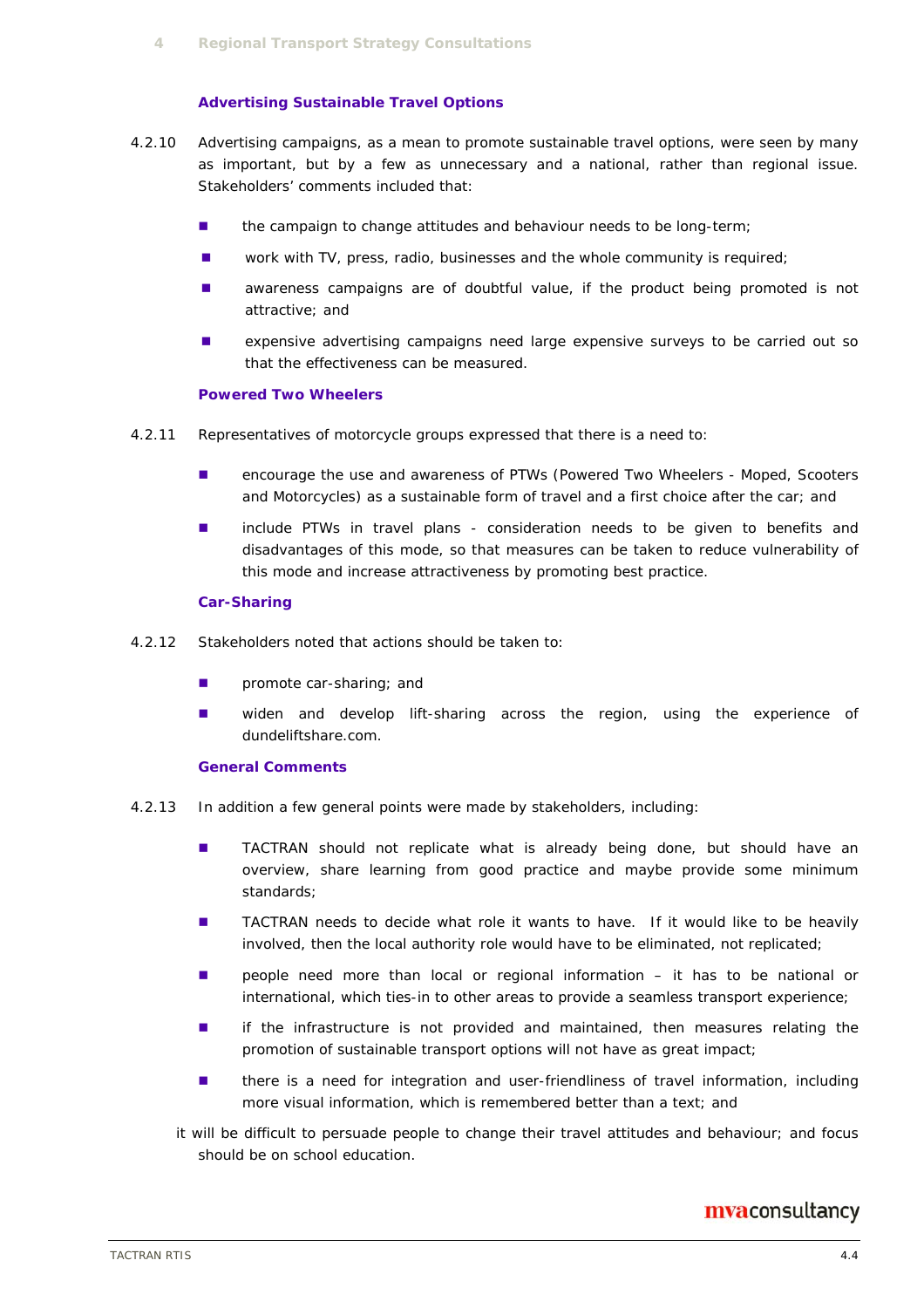#### **Advertising Sustainable Travel Options**

- 4.2.10 Advertising campaigns, as a mean to promote sustainable travel options, were seen by many as important, but by a few as unnecessary and a national, rather than regional issue. Stakeholders' comments included that:
	- **the campaign to change attitudes and behaviour needs to be long-term;**
	- **Number** work with TV, press, radio, businesses and the whole community is required;
	- **a** awareness campaigns are of doubtful value, if the product being promoted is not attractive; and
	- **EXEC** expensive advertising campaigns need large expensive surveys to be carried out so that the effectiveness can be measured.

#### **Powered Two Wheelers**

- 4.2.11 Representatives of motorcycle groups expressed that there is a need to:
	- **E** encourage the use and awareness of PTWs (Powered Two Wheelers Moped, Scooters and Motorcycles) as a sustainable form of travel and a first choice after the car; and
	- **I** include PTWs in travel plans consideration needs to be given to benefits and disadvantages of this mode, so that measures can be taken to reduce vulnerability of this mode and increase attractiveness by promoting best practice.

#### **Car-Sharing**

- 4.2.12 Stakeholders noted that actions should be taken to:
	- **promote car-sharing; and**
	- **u** widen and develop lift-sharing across the region, using the experience of dundeliftshare.com.

#### **General Comments**

- 4.2.13 In addition a few general points were made by stakeholders, including:
	- TACTRAN should not replicate what is already being done, but should have an overview, share learning from good practice and maybe provide some minimum standards;
	- TACTRAN needs to decide what role it wants to have. If it would like to be heavily involved, then the local authority role would have to be eliminated, not replicated;
	- **n** people need more than local or regional information it has to be national or international, which ties-in to other areas to provide a seamless transport experience;
	- **if** the infrastructure is not provided and maintained, then measures relating the promotion of sustainable transport options will not have as great impact;
	- **there is a need for integration and user-friendliness of travel information, including** more visual information, which is remembered better than a text; and
	- it will be difficult to persuade people to change their travel attitudes and behaviour; and focus should be on school education.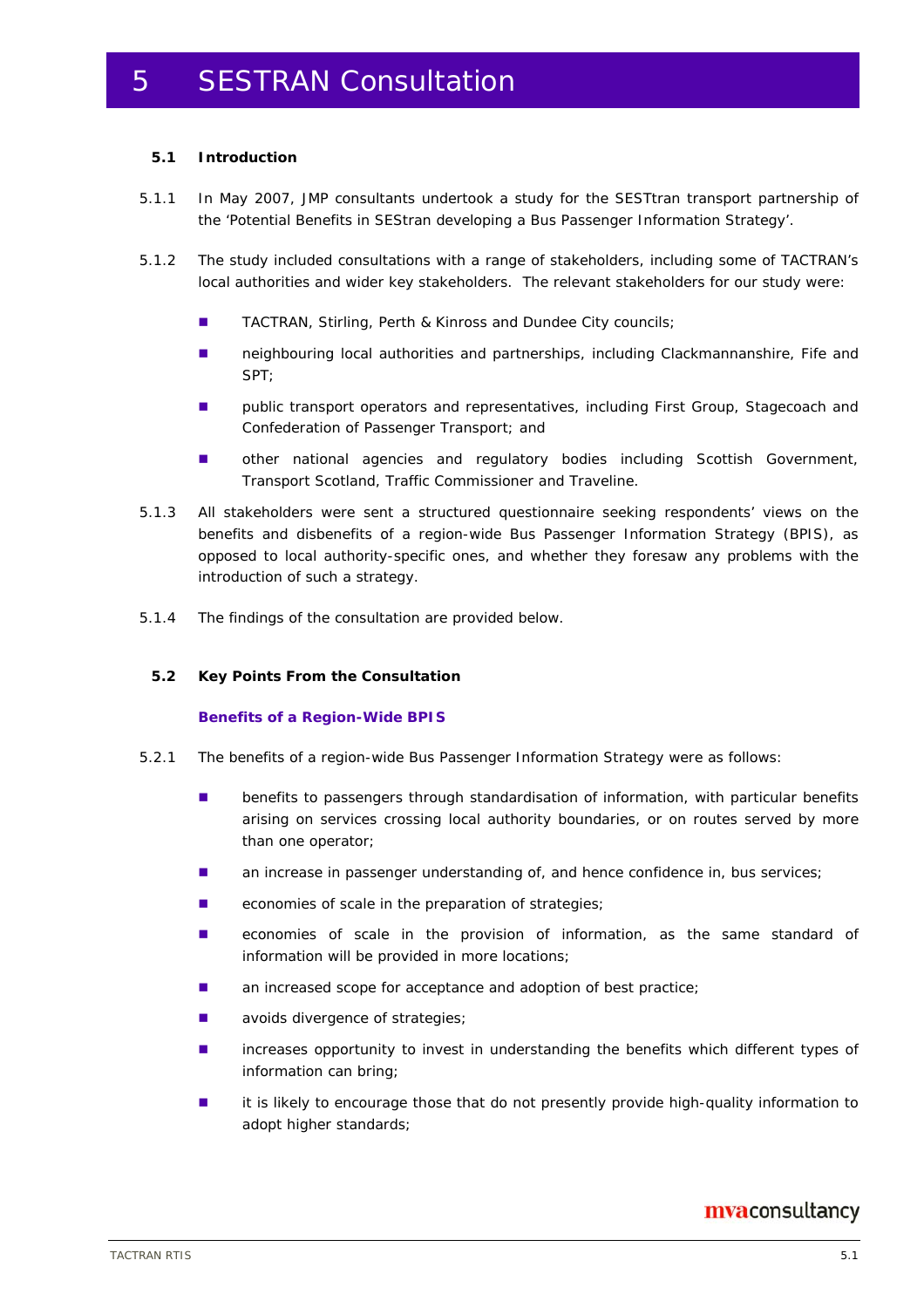#### **5.1 Introduction**

- 5.1.1 In May 2007, JMP consultants undertook a study for the SESTtran transport partnership of the 'Potential Benefits in SEStran developing a Bus Passenger Information Strategy'.
- 5.1.2 The study included consultations with a range of stakeholders, including some of TACTRAN's local authorities and wider key stakeholders. The relevant stakeholders for our study were:
	- TACTRAN, Stirling, Perth & Kinross and Dundee City councils;
	- neighbouring local authorities and partnerships, including Clackmannanshire, Fife and SPT;
	- **u** public transport operators and representatives, including First Group, Stagecoach and Confederation of Passenger Transport; and
	- other national agencies and regulatory bodies including Scottish Government, Transport Scotland, Traffic Commissioner and Traveline.
- 5.1.3 All stakeholders were sent a structured questionnaire seeking respondents' views on the benefits and disbenefits of a region-wide Bus Passenger Information Strategy (BPIS), as opposed to local authority-specific ones, and whether they foresaw any problems with the introduction of such a strategy.
- 5.1.4 The findings of the consultation are provided below.

#### **5.2 Key Points From the Consultation**

#### **Benefits of a Region-Wide BPIS**

- 5.2.1 The benefits of a region-wide Bus Passenger Information Strategy were as follows:
	- **EXECT** benefits to passengers through standardisation of information, with particular benefits arising on services crossing local authority boundaries, or on routes served by more than one operator;
	- **an** increase in passenger understanding of, and hence confidence in, bus services;
	- $\blacksquare$  economies of scale in the preparation of strategies;
	- **E** economies of scale in the provision of information, as the same standard of information will be provided in more locations;
	- **an increased scope for acceptance and adoption of best practice;**
	- **avoids divergence of strategies;**
	- **Increases opportunity to invest in understanding the benefits which different types of** information can bring;
	- **If limit is likely to encourage those that do not presently provide high-quality information to** adopt higher standards;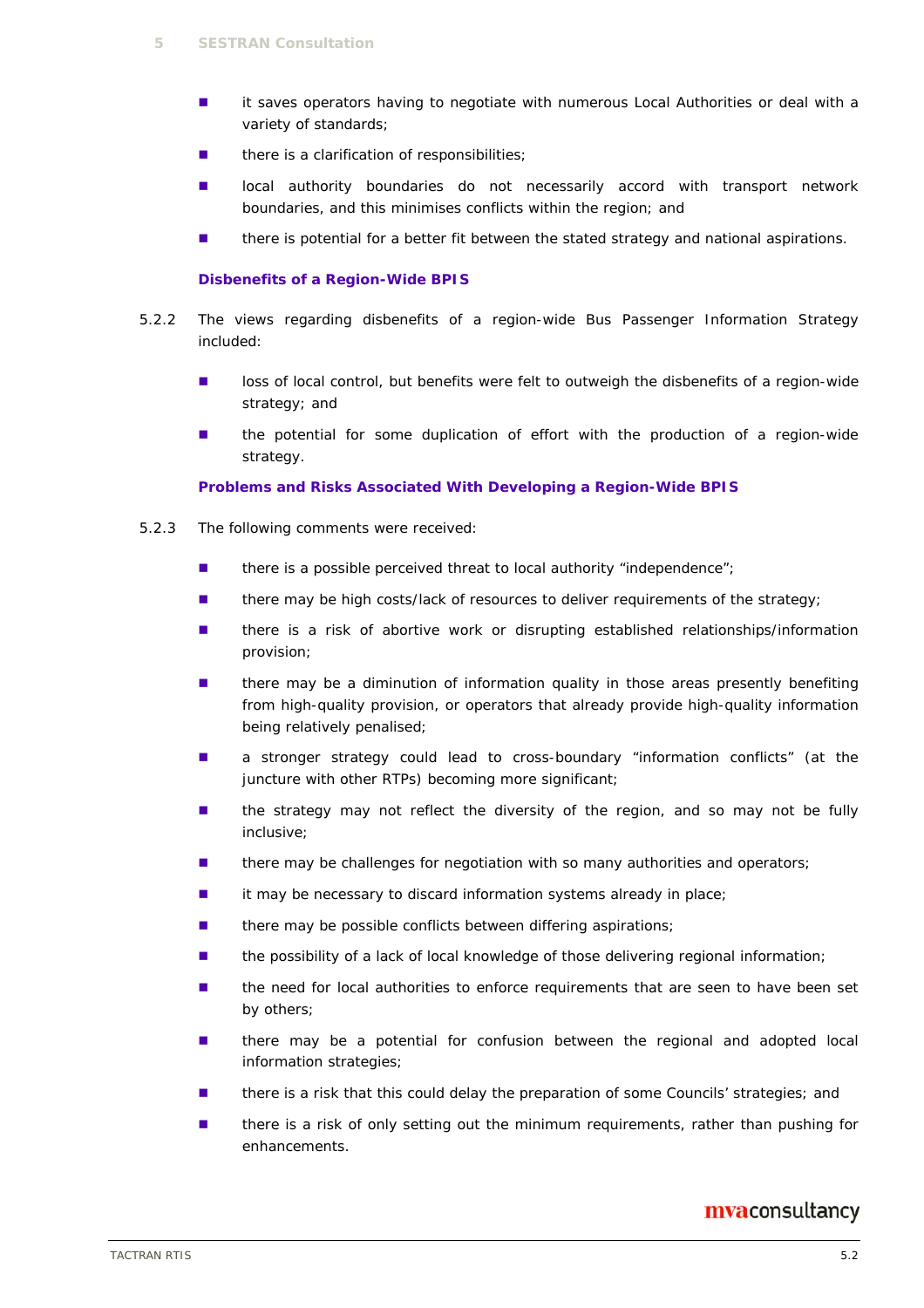- **I** it saves operators having to negotiate with numerous Local Authorities or deal with a variety of standards;
- there is a clarification of responsibilities;
- **In local authority boundaries do not necessarily accord with transport network** boundaries, and this minimises conflicts within the region; and
- **there is potential for a better fit between the stated strategy and national aspirations.**

#### **Disbenefits of a Region-Wide BPIS**

- 5.2.2 The views regarding disbenefits of a region-wide Bus Passenger Information Strategy included:
	- loss of local control, but benefits were felt to outweigh the disbenefits of a region-wide strategy; and
	- **the potential for some duplication of effort with the production of a region-wide** strategy.

#### **Problems and Risks Associated With Developing a Region-Wide BPIS**

- 5.2.3 The following comments were received:
	- $\blacksquare$  there is a possible perceived threat to local authority "independence";
	- **there may be high costs/lack of resources to deliver requirements of the strategy;**
	- **there is a risk of abortive work or disrupting established relationships/information** provision;
	- **I** there may be a diminution of information quality in those areas presently benefiting from high-quality provision, or operators that already provide high-quality information being relatively penalised;
	- **a** stronger strategy could lead to cross-boundary "information conflicts" (at the juncture with other RTPs) becoming more significant;
	- $\blacksquare$  the strategy may not reflect the diversity of the region, and so may not be fully inclusive;
	- **there may be challenges for negotiation with so many authorities and operators;**
	- $\blacksquare$  it may be necessary to discard information systems already in place:
	- **n** there may be possible conflicts between differing aspirations;
	- **the possibility of a lack of local knowledge of those delivering regional information;**
	- **the need for local authorities to enforce requirements that are seen to have been set** by others;
	- **n** there may be a potential for confusion between the regional and adopted local information strategies;
	- **there is a risk that this could delay the preparation of some Councils' strategies; and**
	- **there is a risk of only setting out the minimum requirements, rather than pushing for** enhancements.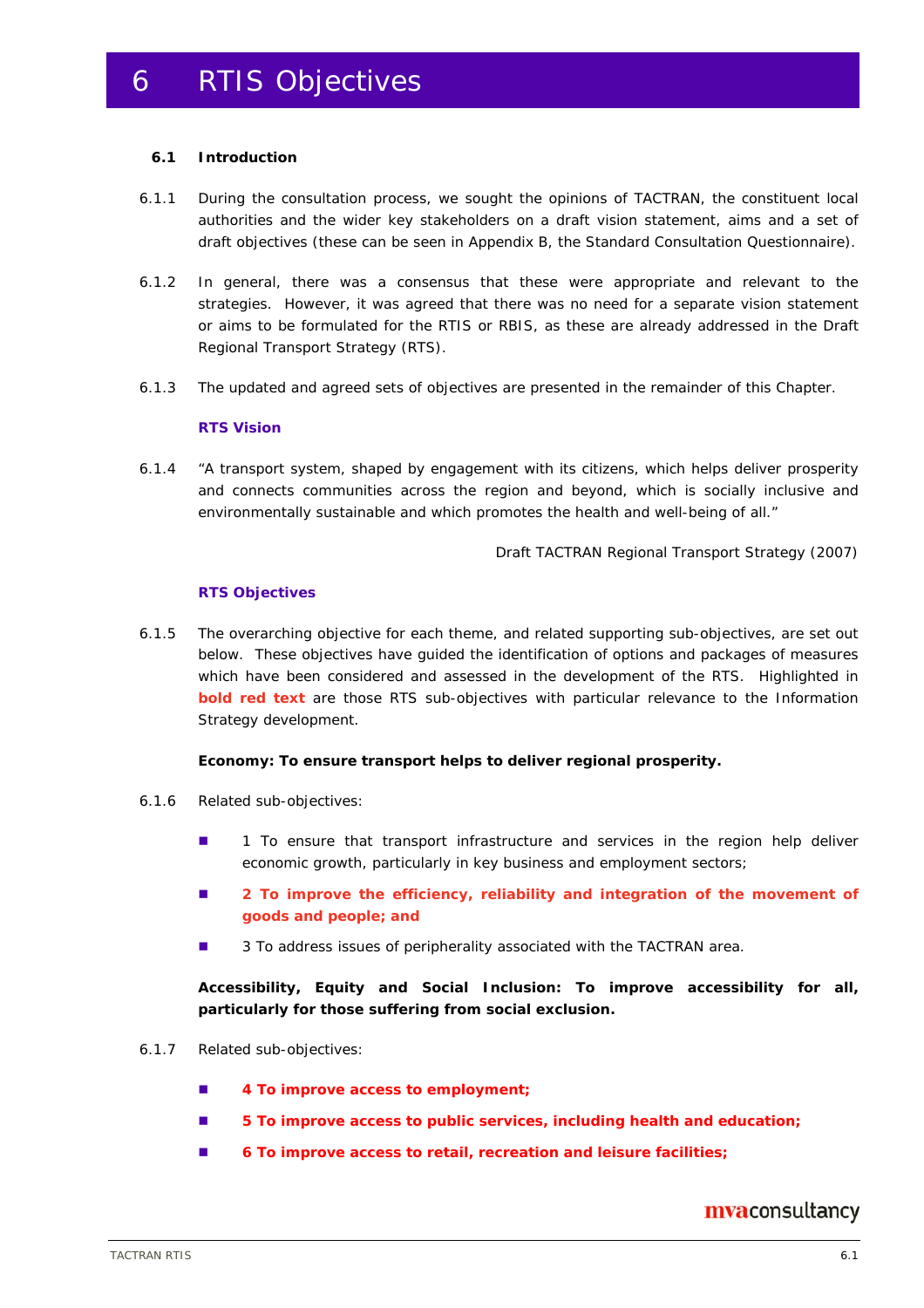#### **6.1 Introduction**

- 6.1.1 During the consultation process, we sought the opinions of TACTRAN, the constituent local authorities and the wider key stakeholders on a draft vision statement, aims and a set of draft objectives (these can be seen in Appendix B, the Standard Consultation Questionnaire).
- 6.1.2 In general, there was a consensus that these were appropriate and relevant to the strategies. However, it was agreed that there was no need for a separate vision statement or aims to be formulated for the RTIS or RBIS, as these are already addressed in the Draft Regional Transport Strategy (RTS).
- 6.1.3 The updated and agreed sets of objectives are presented in the remainder of this Chapter.

#### **RTS Vision**

6.1.4 "*A transport system, shaped by engagement with its citizens, which helps deliver prosperity and connects communities across the region and beyond, which is socially inclusive and environmentally sustainable and which promotes the health and well-being of all*."

Draft TACTRAN Regional Transport Strategy (2007)

#### **RTS Objectives**

6.1.5 The overarching objective for each theme, and related supporting sub-objectives, are set out below. These objectives have guided the identification of options and packages of measures which have been considered and assessed in the development of the RTS. Highlighted in **bold red text** are those RTS sub-objectives with particular relevance to the Information Strategy development.

#### **Economy: To ensure transport helps to deliver regional prosperity.**

- 6.1.6 Related sub-objectives:
	- **1** To ensure that transport infrastructure and services in the region help deliver economic growth, particularly in key business and employment sectors;
	- **2** To improve the efficiency, reliability and integration of the movement of **goods and people; and**
	- 3 To address issues of peripherality associated with the TACTRAN area.

**Accessibility, Equity and Social Inclusion: To improve accessibility for all, particularly for those suffering from social exclusion.** 

- 6.1.7 Related sub-objectives:
	- **4 To improve access to employment;**
	- 5 To improve access to public services, including health and education;
	- **6 To improve access to retail, recreation and leisure facilities;**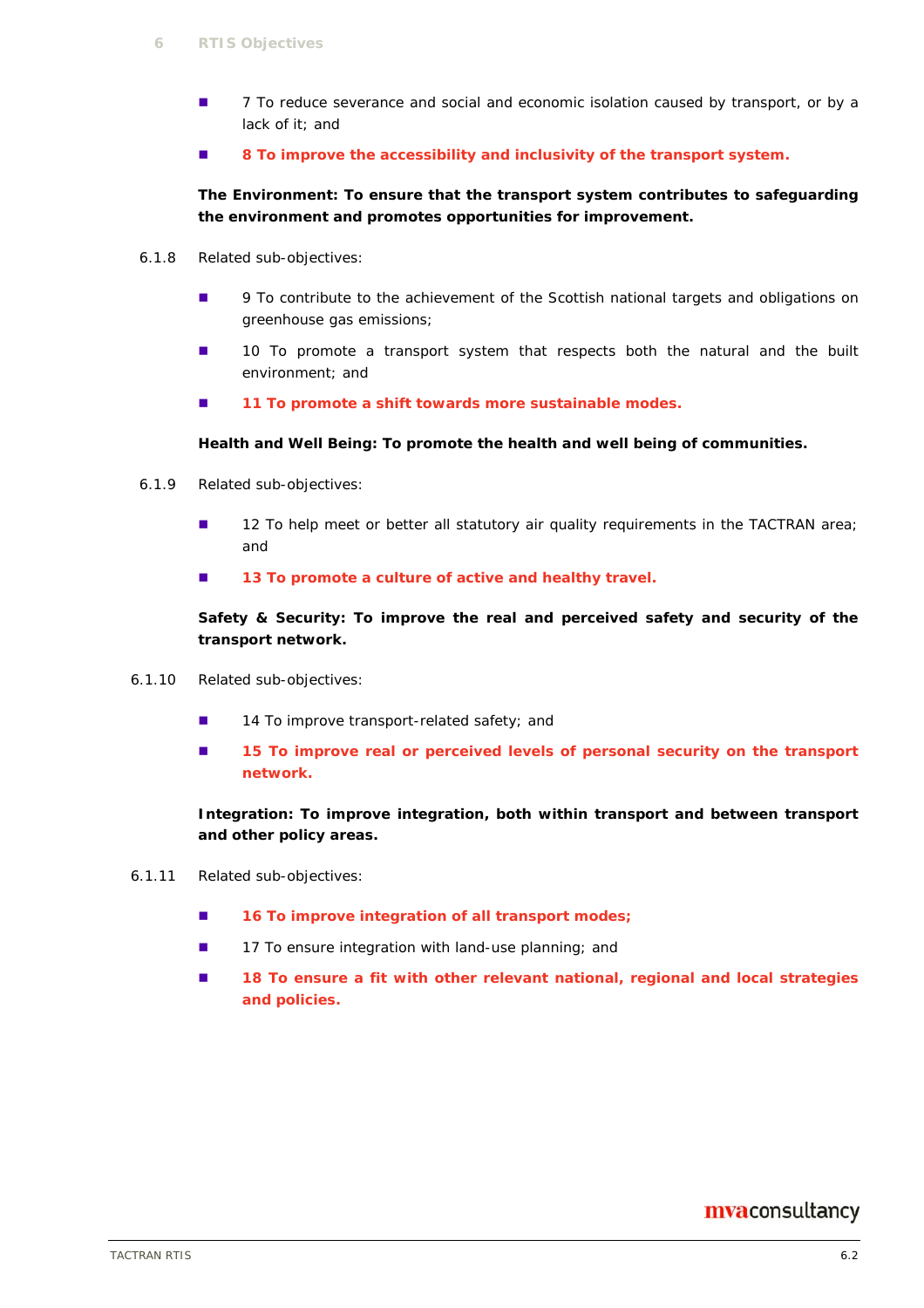- 7 To reduce severance and social and economic isolation caused by transport, or by a lack of it; and
- **8 To improve the accessibility and inclusivity of the transport system.**

#### **The Environment: To ensure that the transport system contributes to safeguarding the environment and promotes opportunities for improvement.**

- 6.1.8 Related sub-objectives:
	- **9** To contribute to the achievement of the Scottish national targets and obligations on greenhouse gas emissions;
	- **10** To promote a transport system that respects both the natural and the built environment; and
	- 11 To promote a shift towards more sustainable modes.

#### **Health and Well Being: To promote the health and well being of communities.**

- 6.1.9 Related sub-objectives:
	- 12 To help meet or better all statutory air quality requirements in the TACTRAN area; and
	- **13 To promote a culture of active and healthy travel.**

**Safety & Security: To improve the real and perceived safety and security of the transport network.** 

- 6.1.10 Related sub-objectives:
	- 14 To improve transport-related safety; and
	- **15 To improve real or perceived levels of personal security on the transport network.**

**Integration: To improve integration, both within transport and between transport and other policy areas.** 

- 6.1.11 Related sub-objectives:
	- 16 To improve integration of all transport modes;
	- 17 To ensure integration with land-use planning; and
	- 18 To ensure a fit with other relevant national, regional and local strategies **and policies.**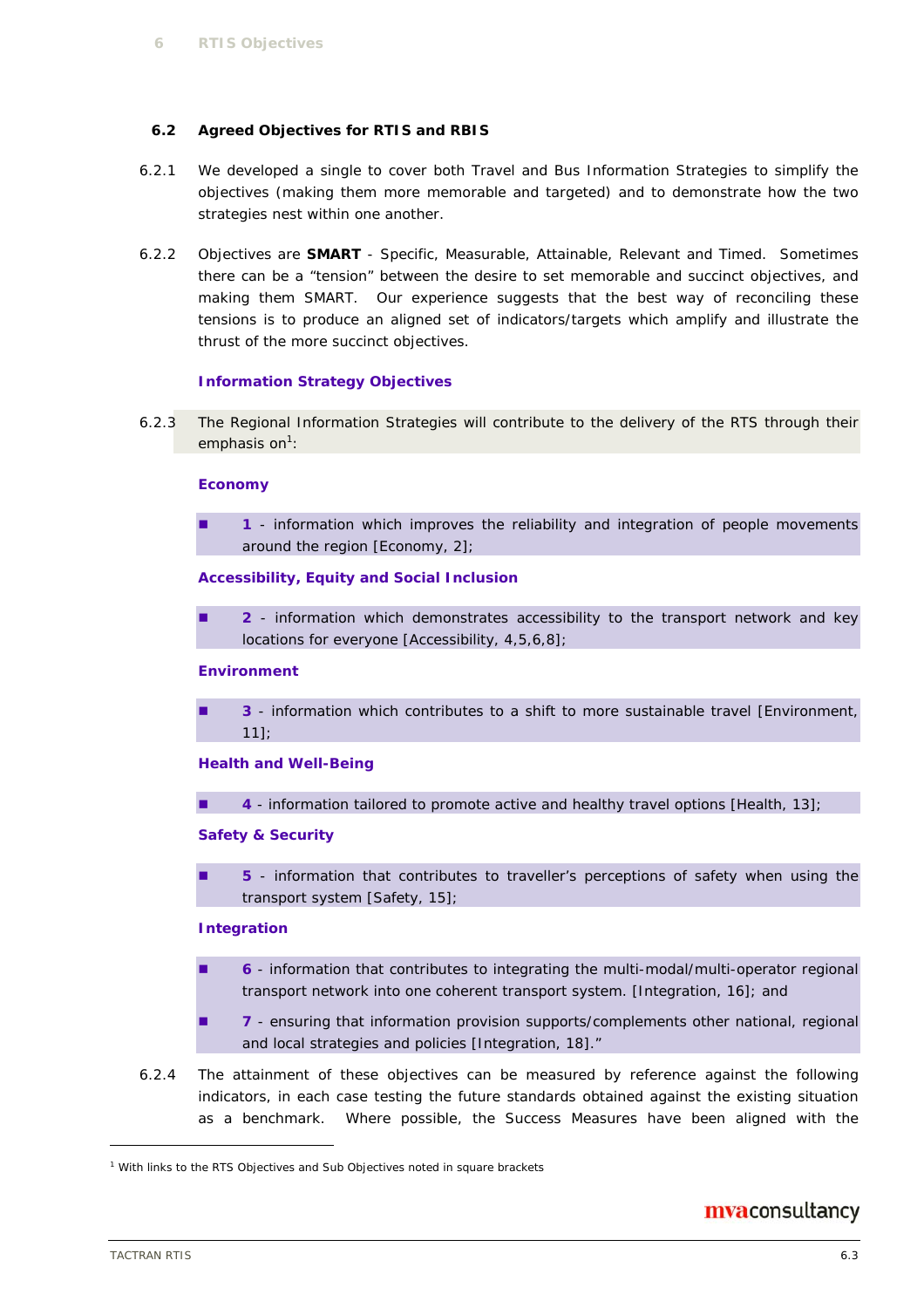#### **6.2 Agreed Objectives for RTIS and RBIS**

- 6.2.1 We developed a single to cover both Travel and Bus Information Strategies to simplify the objectives (making them more memorable and targeted) and to demonstrate how the two strategies nest within one another.
- 6.2.2 Objectives are **SMART** Specific, Measurable, Attainable, Relevant and Timed. Sometimes there can be a "tension" between the desire to set memorable and succinct objectives, and making them SMART. Our experience suggests that the best way of reconciling these tensions is to produce an aligned set of indicators/targets which amplify and illustrate the thrust of the more succinct objectives.

#### **Information Strategy Objectives**

6.2.3 The Regional Information Strategies will contribute to the delivery of the RTS through their emphasis on<sup>1</sup>:

#### **Economy**

 **1** - information which improves the reliability and integration of people movements around the region [*Economy, 2*];

#### **Accessibility, Equity and Social Inclusion**

 **2** - information which demonstrates accessibility to the transport network and key locations for everyone [*Accessibility, 4,5,6,8*];

#### **Environment**

 **3** - information which contributes to a shift to more sustainable travel [*Environment, 11*];

#### **Health and Well-Being**

**4** - information tailored to promote active and healthy travel options [*Health, 13*];

#### **Safety & Security**

 **5** - information that contributes to traveller's perceptions of safety when using the transport system [*Safety, 15*];

#### **Integration**

- **6** information that contributes to integrating the multi-modal/multi-operator regional transport network into one coherent transport system. [*Integration, 16*]; and
- **7** ensuring that information provision supports/complements other national, regional and local strategies and policies [*Integration, 18*]."
- 6.2.4 The attainment of these objectives can be measured by reference against the following indicators, in each case testing the future standards obtained against the existing situation as a benchmark. Where possible, the Success Measures have been aligned with the

## mvaconsultancy

ł

<sup>&</sup>lt;sup>1</sup> With links to the RTS Objectives and Sub Objectives noted in square brackets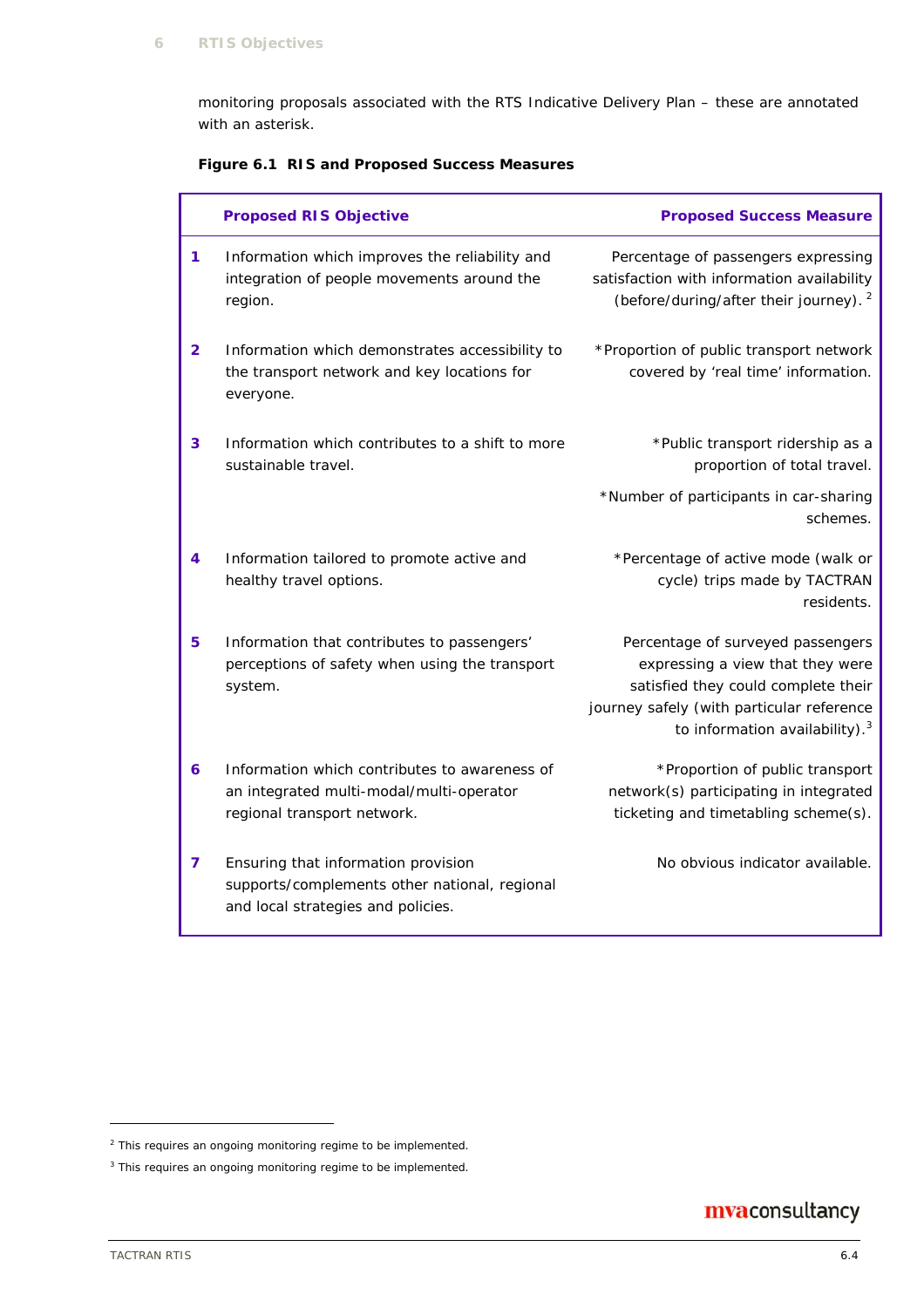monitoring proposals associated with the RTS Indicative Delivery Plan – these are annotated with an asterisk.

### **Figure 6.1 RIS and Proposed Success Measures**

|                | <b>Proposed RIS Objective</b>                                                                                              | <b>Proposed Success Measure</b>                                                                                                                                                                         |
|----------------|----------------------------------------------------------------------------------------------------------------------------|---------------------------------------------------------------------------------------------------------------------------------------------------------------------------------------------------------|
| 1.             | Information which improves the reliability and<br>integration of people movements around the<br>region.                    | Percentage of passengers expressing<br>satisfaction with information availability<br>(before/during/after their journey). <sup>2</sup>                                                                  |
| $\overline{2}$ | Information which demonstrates accessibility to<br>the transport network and key locations for<br>everyone.                | *Proportion of public transport network<br>covered by 'real time' information.                                                                                                                          |
| 3              | Information which contributes to a shift to more<br>sustainable travel.                                                    | *Public transport ridership as a<br>proportion of total travel.                                                                                                                                         |
|                |                                                                                                                            | *Number of participants in car-sharing<br>schemes.                                                                                                                                                      |
| 4              | Information tailored to promote active and<br>healthy travel options.                                                      | *Percentage of active mode (walk or<br>cycle) trips made by TACTRAN<br>residents.                                                                                                                       |
| 5.             | Information that contributes to passengers'<br>perceptions of safety when using the transport<br>system.                   | Percentage of surveyed passengers<br>expressing a view that they were<br>satisfied they could complete their<br>journey safely (with particular reference<br>to information availability). <sup>3</sup> |
| 6              | Information which contributes to awareness of<br>an integrated multi-modal/multi-operator<br>regional transport network.   | *Proportion of public transport<br>network(s) participating in integrated<br>ticketing and timetabling scheme(s).                                                                                       |
| 7              | Ensuring that information provision<br>supports/complements other national, regional<br>and local strategies and policies. | No obvious indicator available.                                                                                                                                                                         |

## mvaconsultancy

ł

<sup>&</sup>lt;sup>2</sup> This requires an ongoing monitoring regime to be implemented.

<sup>&</sup>lt;sup>3</sup> This requires an ongoing monitoring regime to be implemented.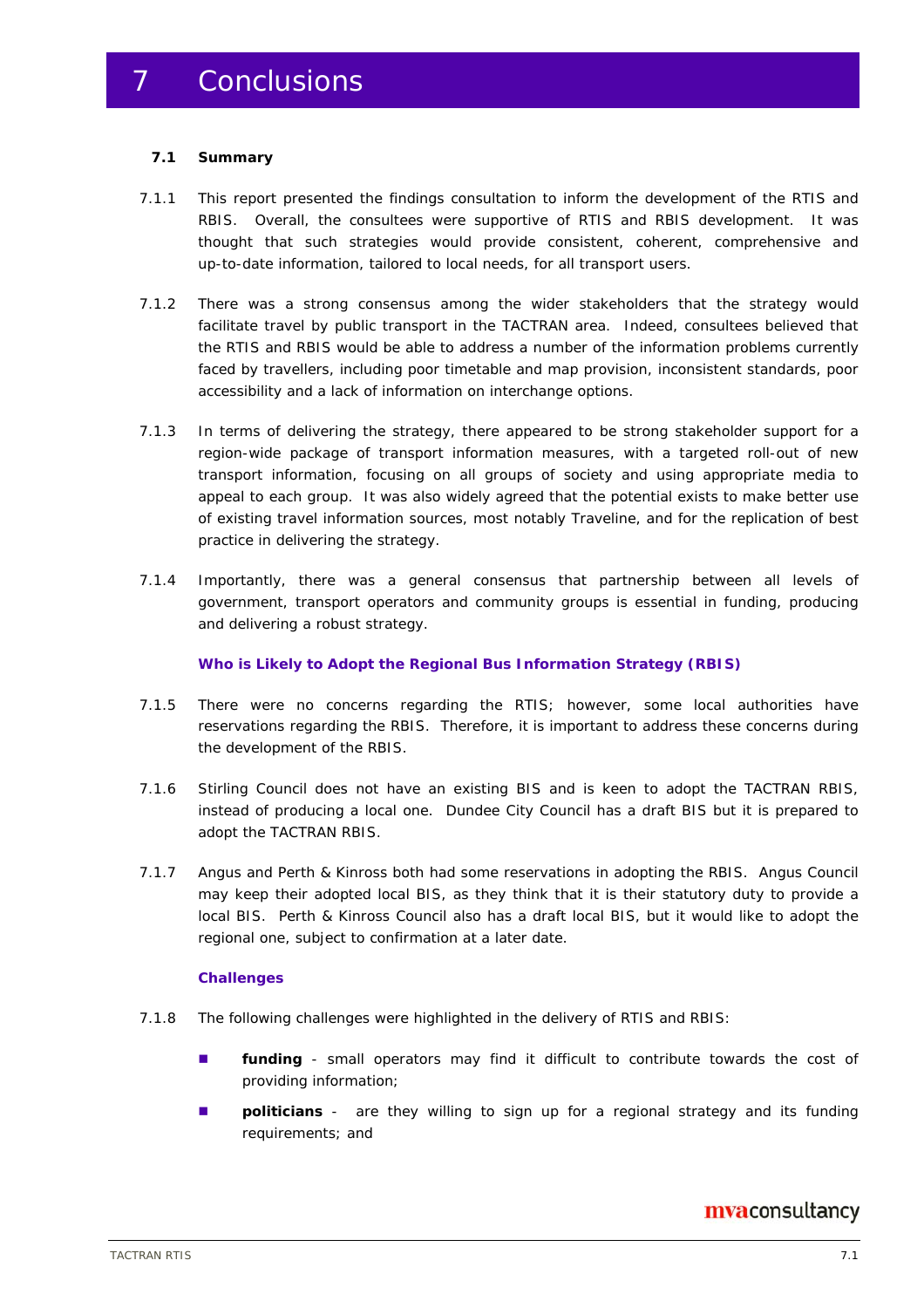#### **7.1 Summary**

- 7.1.1 This report presented the findings consultation to inform the development of the RTIS and RBIS. Overall, the consultees were supportive of RTIS and RBIS development. It was thought that such strategies would provide consistent, coherent, comprehensive and up-to-date information, tailored to local needs, for all transport users.
- 7.1.2 There was a strong consensus among the wider stakeholders that the strategy would facilitate travel by public transport in the TACTRAN area. Indeed, consultees believed that the RTIS and RBIS would be able to address a number of the information problems currently faced by travellers, including poor timetable and map provision, inconsistent standards, poor accessibility and a lack of information on interchange options.
- 7.1.3 In terms of delivering the strategy, there appeared to be strong stakeholder support for a region-wide package of transport information measures, with a targeted roll-out of new transport information, focusing on all groups of society and using appropriate media to appeal to each group. It was also widely agreed that the potential exists to make better use of existing travel information sources, most notably Traveline, and for the replication of best practice in delivering the strategy.
- 7.1.4 Importantly, there was a general consensus that partnership between all levels of government, transport operators and community groups is essential in funding, producing and delivering a robust strategy.

#### **Who is Likely to Adopt the Regional Bus Information Strategy (RBIS)**

- 7.1.5 There were no concerns regarding the RTIS; however, some local authorities have reservations regarding the RBIS. Therefore, it is important to address these concerns during the development of the RBIS.
- 7.1.6 Stirling Council does not have an existing BIS and is keen to adopt the TACTRAN RBIS, instead of producing a local one. Dundee City Council has a draft BIS but it is prepared to adopt the TACTRAN RBIS.
- 7.1.7 Angus and Perth & Kinross both had some reservations in adopting the RBIS. Angus Council may keep their adopted local BIS, as they think that it is their statutory duty to provide a local BIS. Perth & Kinross Council also has a draft local BIS, but it would like to adopt the regional one, subject to confirmation at a later date.

#### **Challenges**

- 7.1.8 The following challenges were highlighted in the delivery of RTIS and RBIS:
	- **funding** small operators may find it difficult to contribute towards the cost of providing information;
	- **politicians** are they willing to sign up for a regional strategy and its funding requirements; and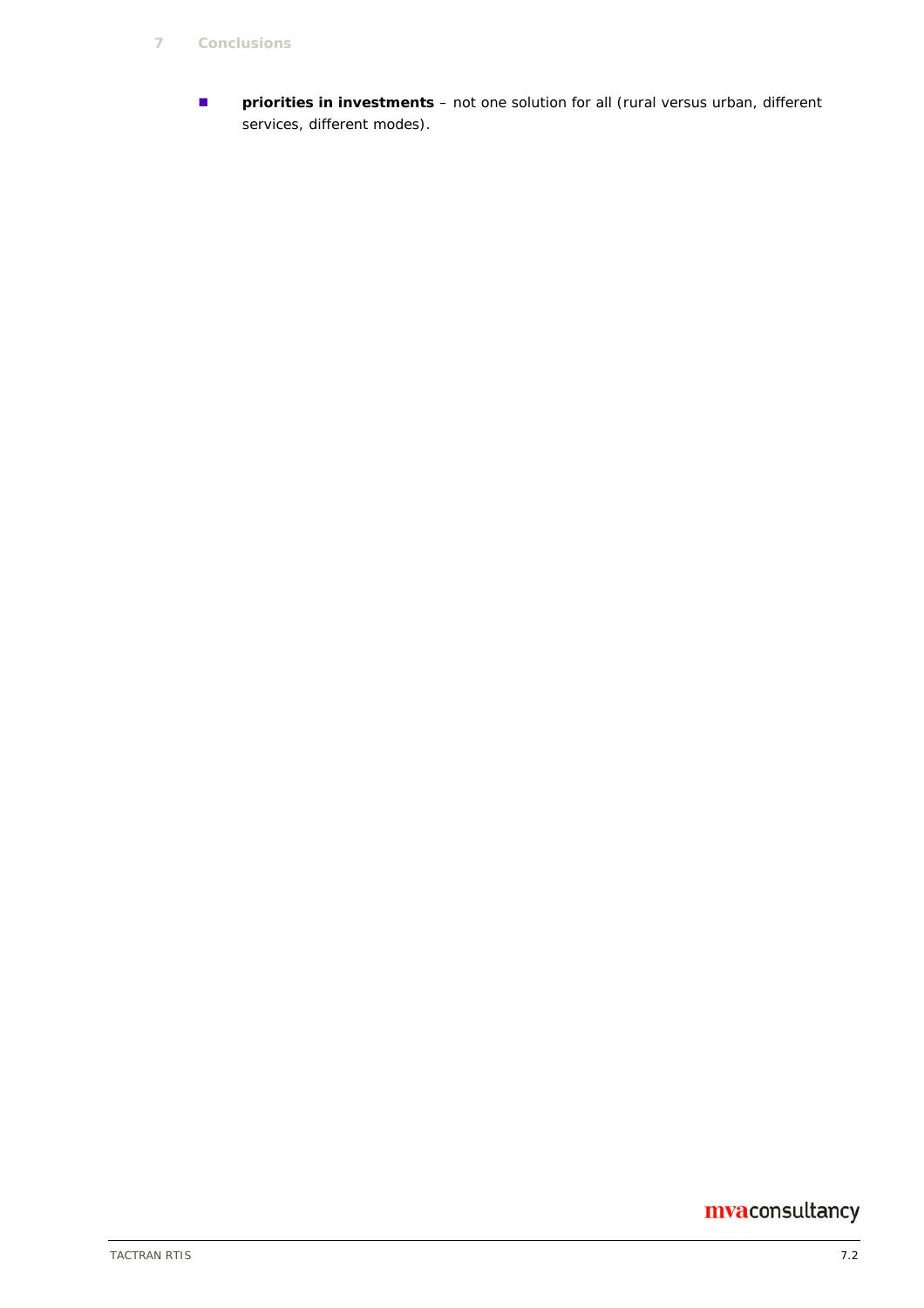**P priorities in investments** – not one solution for all (rural versus urban, different services, different modes).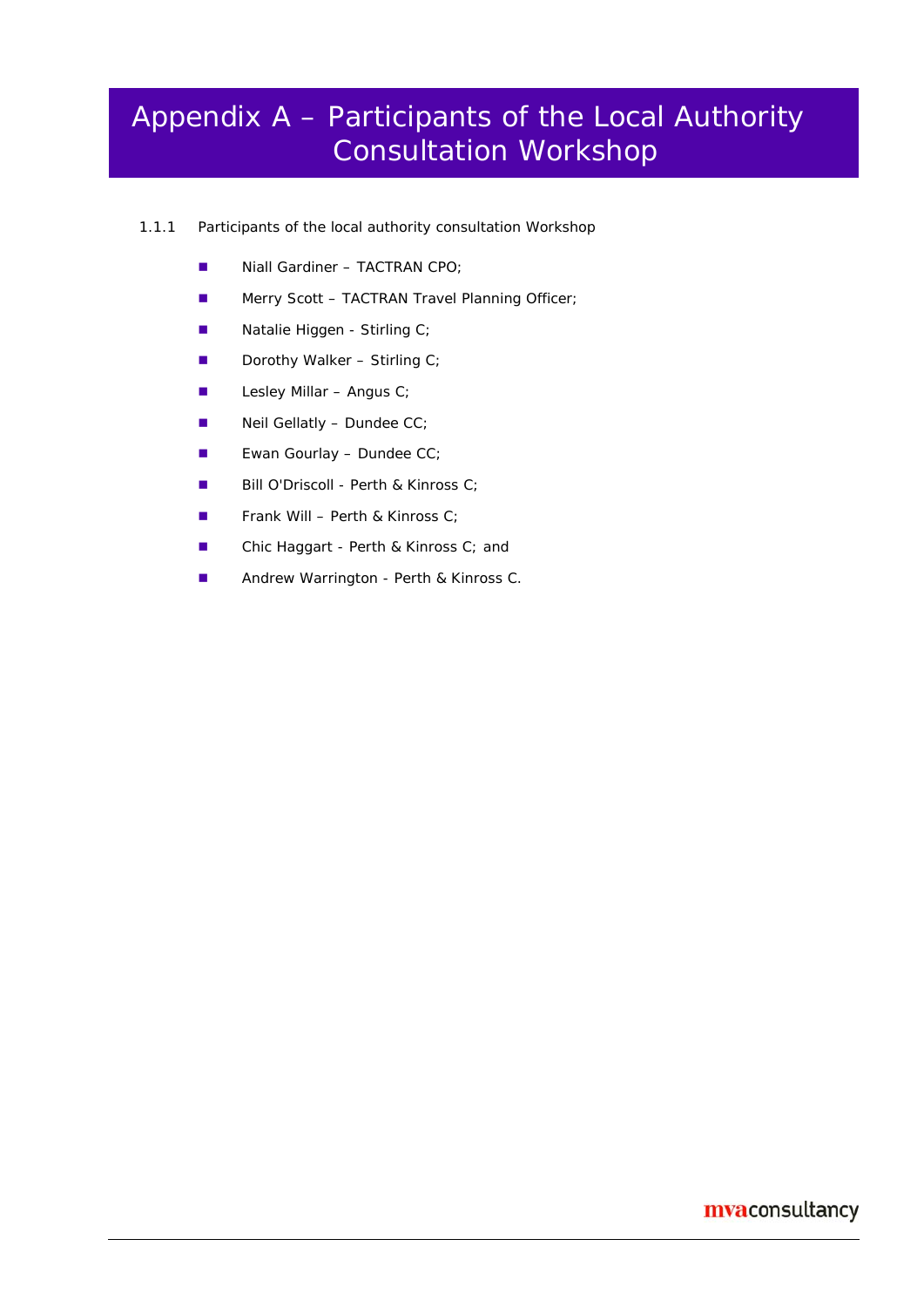## Appendix A – Participants of the Local Authority Consultation Workshop

- 1.1.1 Participants of the local authority consultation Workshop
	- Niall Gardiner TACTRAN CPO;
	- **Merry Scott TACTRAN Travel Planning Officer;**
	- Natalie Higgen Stirling C;
	- Dorothy Walker Stirling C;
	- **Lesley Millar Angus C**;
	- $\blacksquare$  Neil Gellatly Dundee CC;
	- **E**wan Gourlay Dundee  $CC$ ;
	- Bill O'Driscoll Perth & Kinross C;
	- **Frank Will Perth & Kinross C**;
	- Chic Haggart Perth & Kinross C; and
	- **Andrew Warrington Perth & Kinross C.**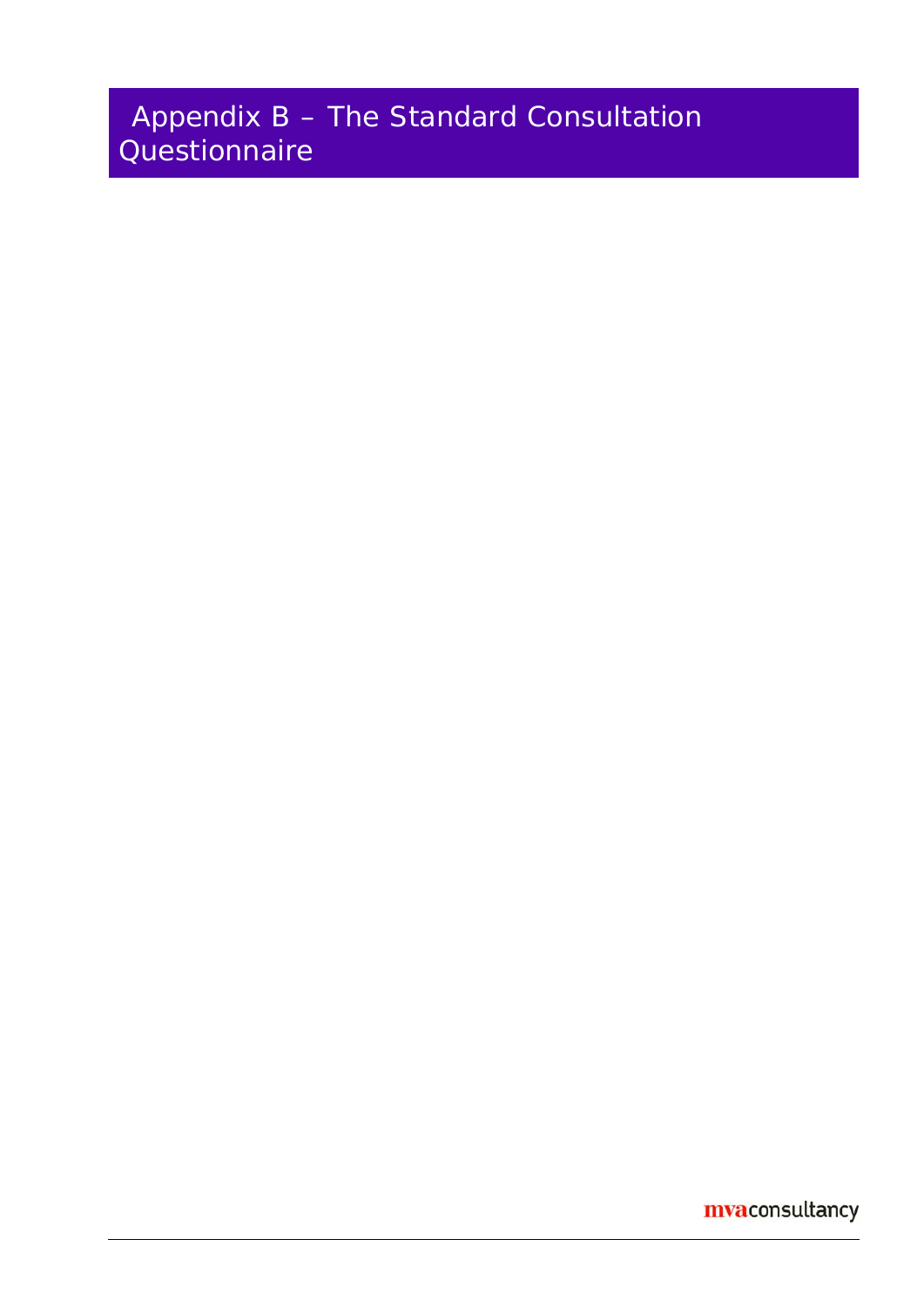## Appendix B – The Standard Consultation **Questionnaire**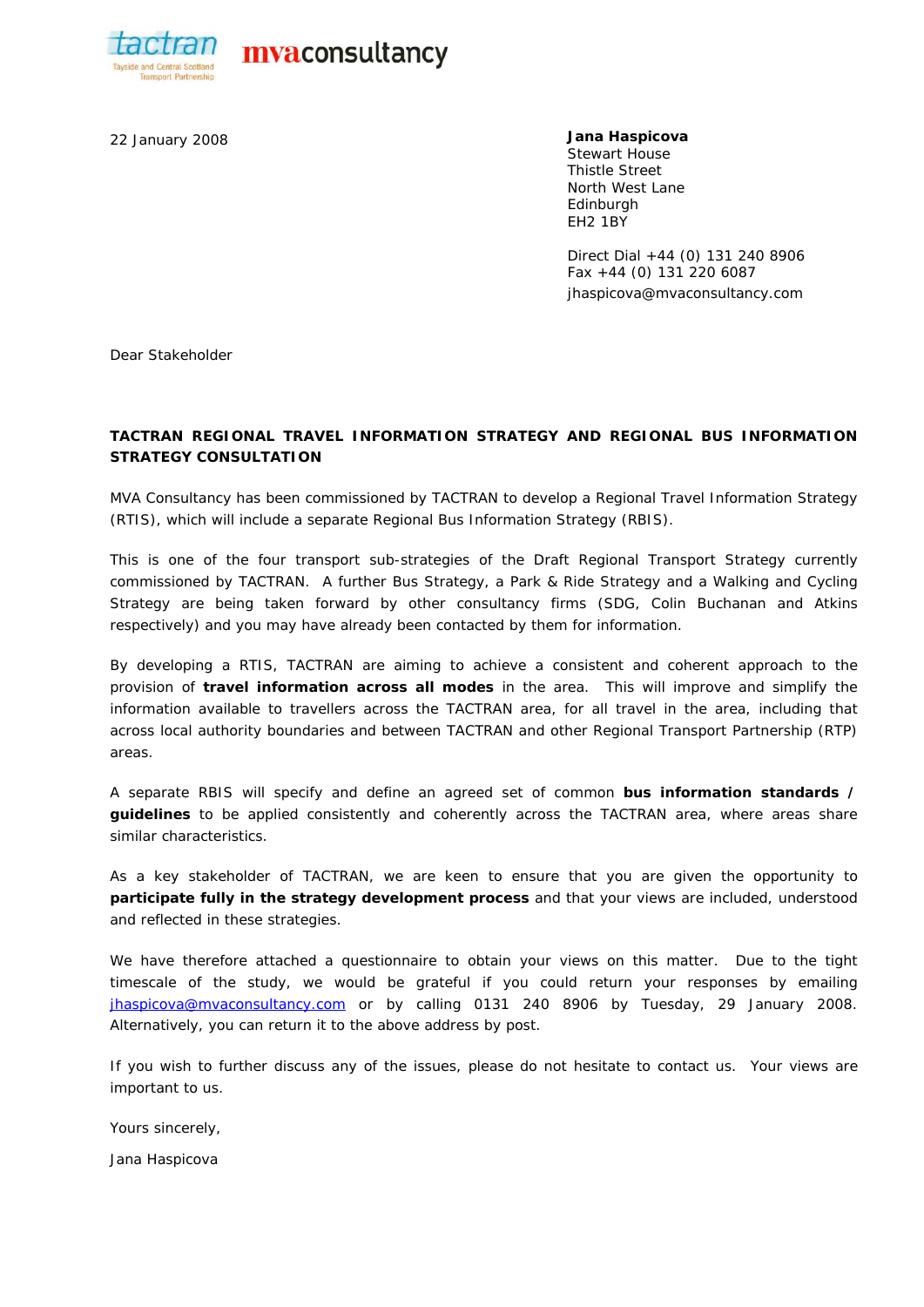

actran myaconsultancy

22 January 2008 **Jana Haspicova**  Stewart House Thistle Street North West Lane **Edinburgh** EH2 1BY

> Direct Dial +44 (0) 131 240 8906 Fax +44 (0) 131 220 6087 jhaspicova@mvaconsultancy.com

Dear Stakeholder

#### **TACTRAN REGIONAL TRAVEL INFORMATION STRATEGY AND REGIONAL BUS INFORMATION STRATEGY CONSULTATION**

MVA Consultancy has been commissioned by TACTRAN to develop a Regional Travel Information Strategy (RTIS), which will include a separate Regional Bus Information Strategy (RBIS).

This is one of the four transport sub-strategies of the Draft Regional Transport Strategy currently commissioned by TACTRAN. A further Bus Strategy, a Park & Ride Strategy and a Walking and Cycling Strategy are being taken forward by other consultancy firms (SDG, Colin Buchanan and Atkins respectively) and you may have already been contacted by them for information.

By developing a RTIS, TACTRAN are aiming to achieve a consistent and coherent approach to the provision of **travel information across all modes** in the area. This will improve and simplify the information available to travellers across the TACTRAN area, for all travel in the area, including that across local authority boundaries and between TACTRAN and other Regional Transport Partnership (RTP) areas.

A separate RBIS will specify and define an agreed set of common **bus information standards / guidelines** to be applied consistently and coherently across the TACTRAN area, where areas share similar characteristics.

As a key stakeholder of TACTRAN, we are keen to ensure that you are given the opportunity to **participate fully in the strategy development process** and that your views are included, understood and reflected in these strategies.

We have therefore attached a questionnaire to obtain your views on this matter. Due to the tight timescale of the study, we would be grateful if you could return your responses by emailing jhaspicova@mvaconsultancy.com or by calling 0131 240 8906 by Tuesday, 29 January 2008. Alternatively, you can return it to the above address by post.

If you wish to further discuss any of the issues, please do not hesitate to contact us. Your views are important to us.

Yours sincerely,

Jana Haspicova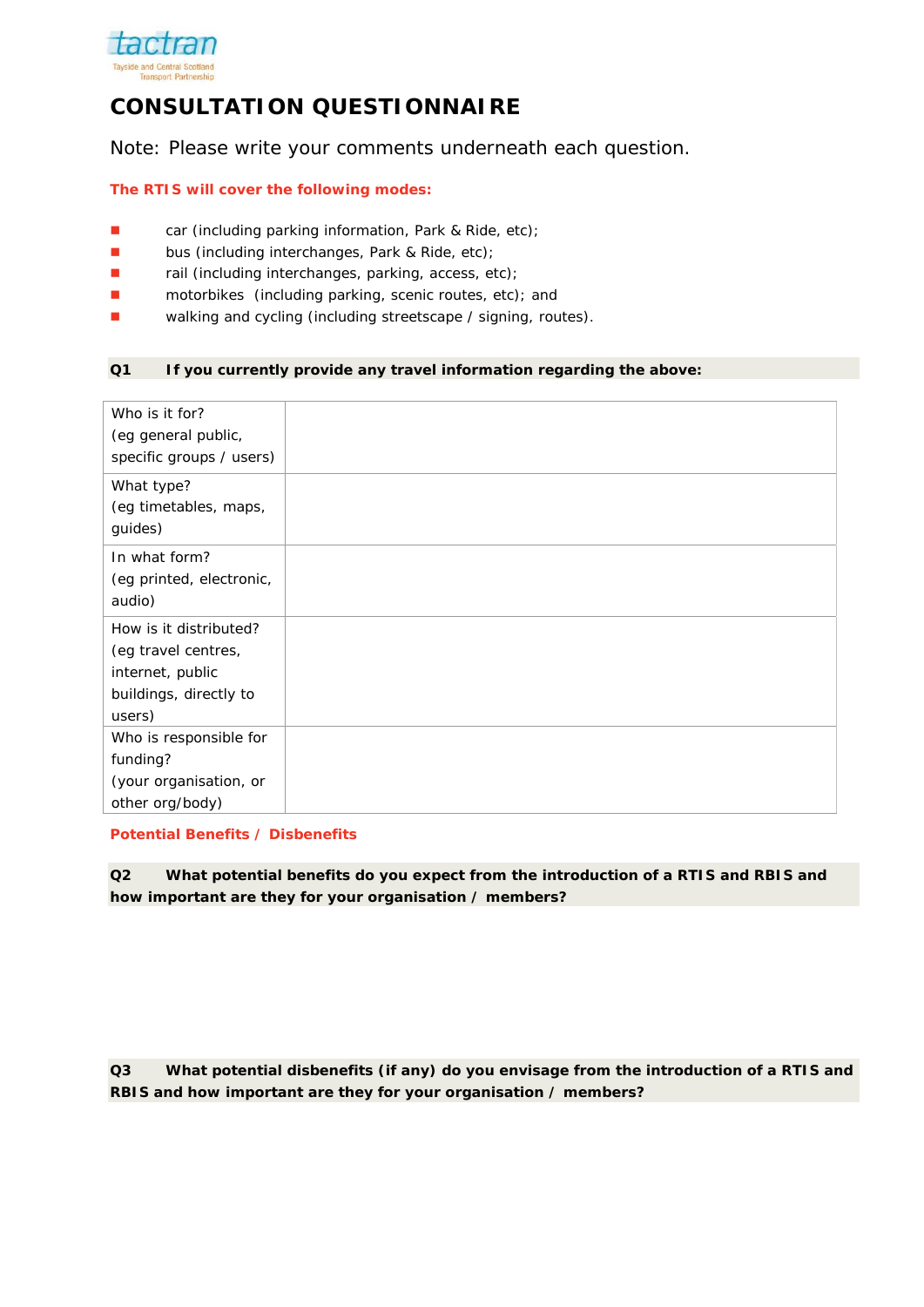

## **CONSULTATION QUESTIONNAIRE**

Note: Please write your comments underneath each question.

#### **The RTIS will cover the following modes:**

- car (including parking information, Park & Ride, etc);
- **bus (including interchanges, Park & Ride, etc);**
- rail (including interchanges, parking, access, etc);
- **n** motorbikes (including parking, scenic routes, etc); and
- Walking and cycling (including streetscape / signing, routes).

#### **Q1 If you currently provide any travel information regarding the above:**

| Who is it for?<br>(eg general public,<br>specific groups / users)                                     |  |
|-------------------------------------------------------------------------------------------------------|--|
| What type?<br>(eg timetables, maps,<br>guides)                                                        |  |
| In what form?<br>(eg printed, electronic,<br>audio)                                                   |  |
| How is it distributed?<br>(eg travel centres,<br>internet, public<br>buildings, directly to<br>users) |  |
| Who is responsible for                                                                                |  |
| funding?                                                                                              |  |
| (your organisation, or                                                                                |  |
| other org/body)                                                                                       |  |

#### **Potential Benefits / Disbenefits**

**Q2 What potential benefits do you expect from the introduction of a RTIS and RBIS and how important are they for your organisation / members?** 

**Q3 What potential disbenefits (if any) do you envisage from the introduction of a RTIS and RBIS and how important are they for your organisation / members?**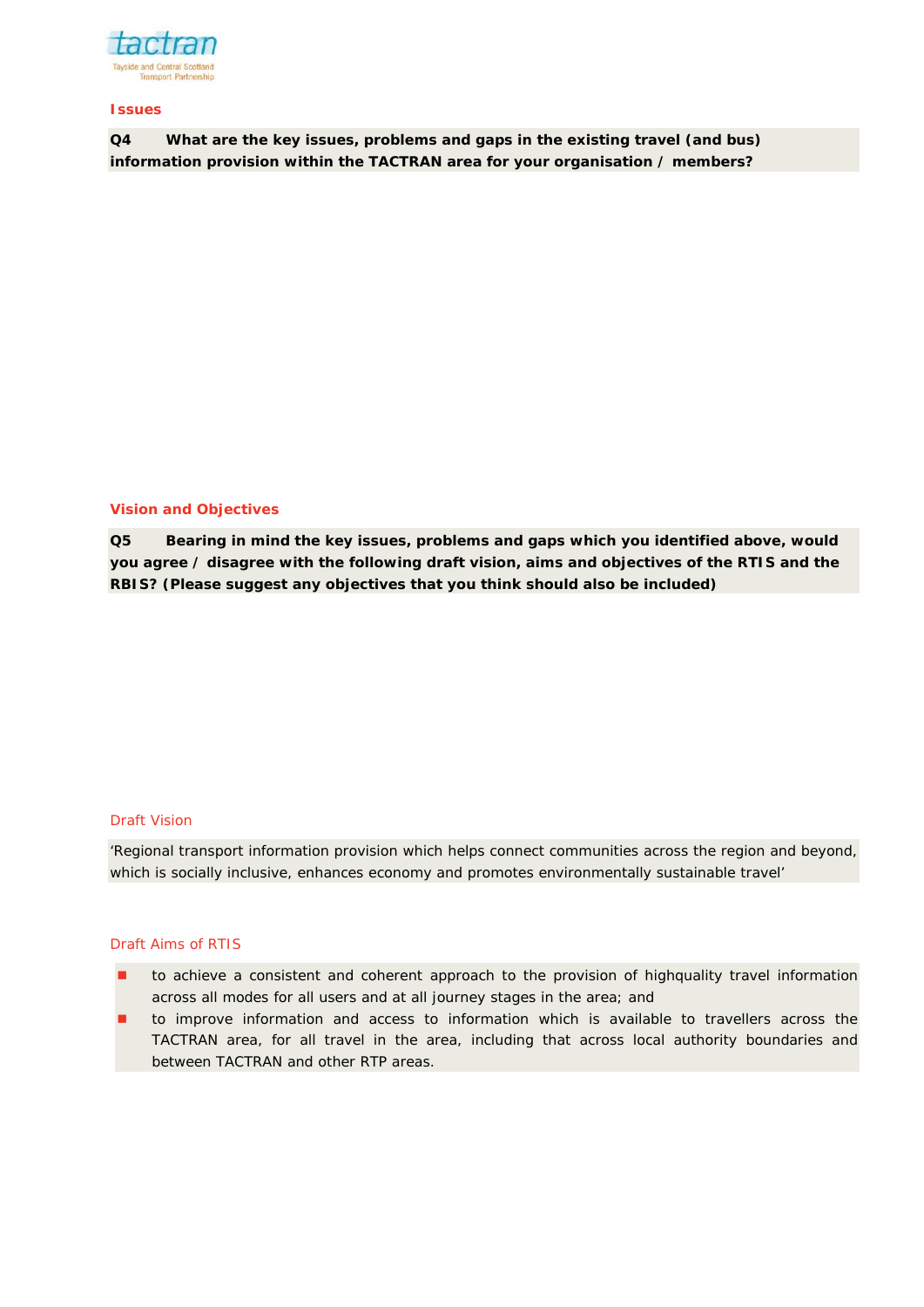

#### **Issues**

**Q4 What are the key issues, problems and gaps in the existing travel (and bus) information provision within the TACTRAN area for your organisation / members?** 

#### **Vision and Objectives**

**Q5 Bearing in mind the key issues, problems and gaps which you identified above, would you agree / disagree with the following draft vision, aims and objectives of the RTIS and the RBIS? (Please suggest any objectives that you think should also be included)** 

#### Draft Vision

*'Regional transport information provision which helps connect communities across the region and beyond, which is socially inclusive, enhances economy and promotes environmentally sustainable travel'* 

#### Draft Aims of RTIS

- to achieve a consistent and coherent approach to the provision of highquality travel information across all modes for all users and at all journey stages in the area; and
- to improve information and access to information which is available to travellers across the TACTRAN area, for all travel in the area, including that across local authority boundaries and between TACTRAN and other RTP areas.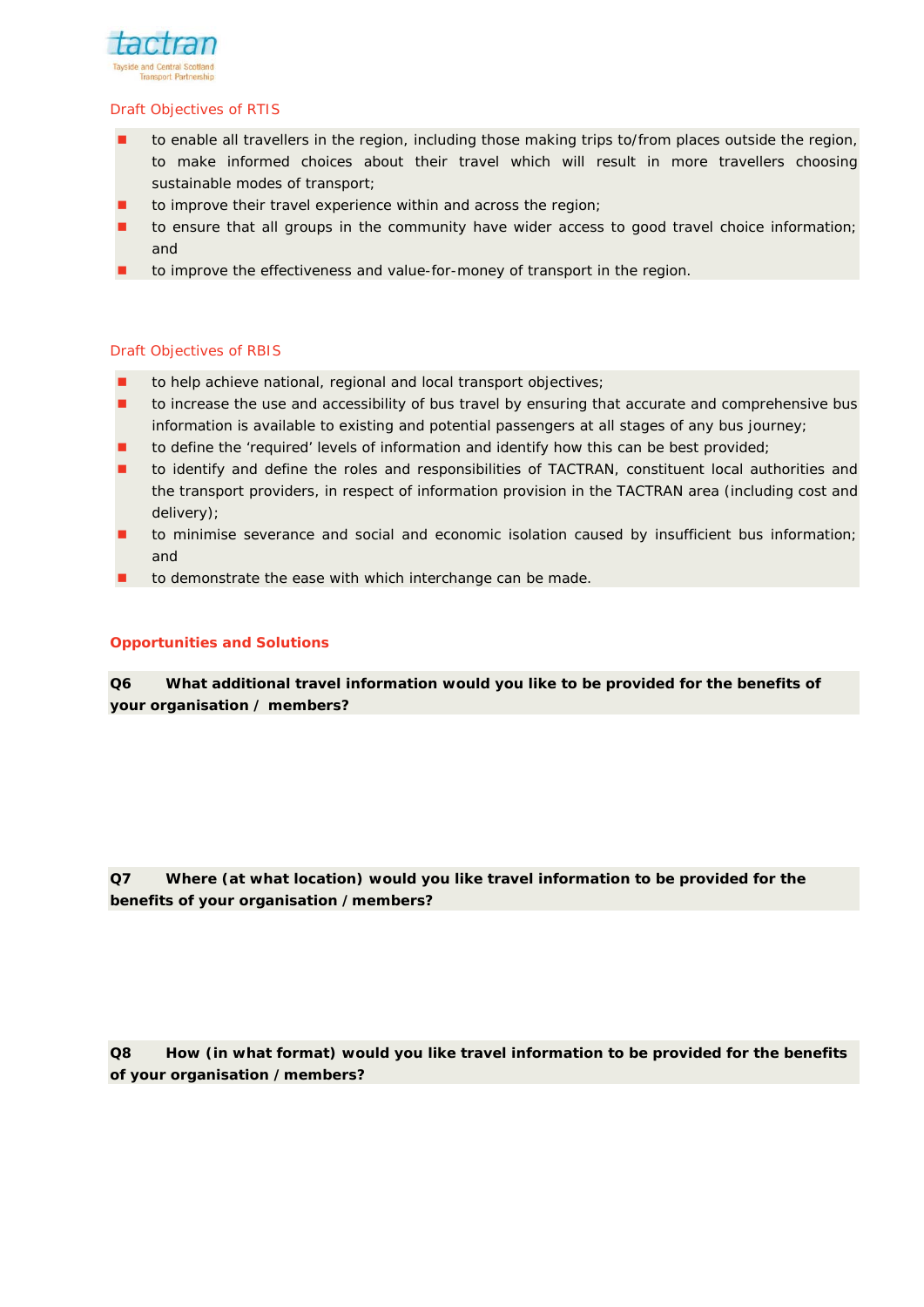

#### Draft Objectives of RTIS

- to enable all travellers in the region, including those making trips to/from places outside the region, to make informed choices about their travel which will result in more travellers choosing sustainable modes of transport;
- to improve their travel experience within and across the region;
- to ensure that all groups in the community have wider access to good travel choice information; and
- to improve the effectiveness and value-for-money of transport in the region.

#### Draft Objectives of RBIS

- to help achieve national, regional and local transport objectives;
- to increase the use and accessibility of bus travel by ensuring that accurate and comprehensive bus information is available to existing and potential passengers at all stages of any bus journey;
- to define the 'required' levels of information and identify how this can be best provided;
- to identify and define the roles and responsibilities of TACTRAN, constituent local authorities and the transport providers, in respect of information provision in the TACTRAN area (including cost and delivery);
- to minimise severance and social and economic isolation caused by insufficient bus information; and
- to demonstrate the ease with which interchange can be made.

#### **Opportunities and Solutions**

**Q6 What additional travel information would you like to be provided for the benefits of your organisation / members?** 

**Q7 Where (at what location) would you like travel information to be provided for the benefits of your organisation /members?** 

**Q8 How (in what format) would you like travel information to be provided for the benefits of your organisation /members?**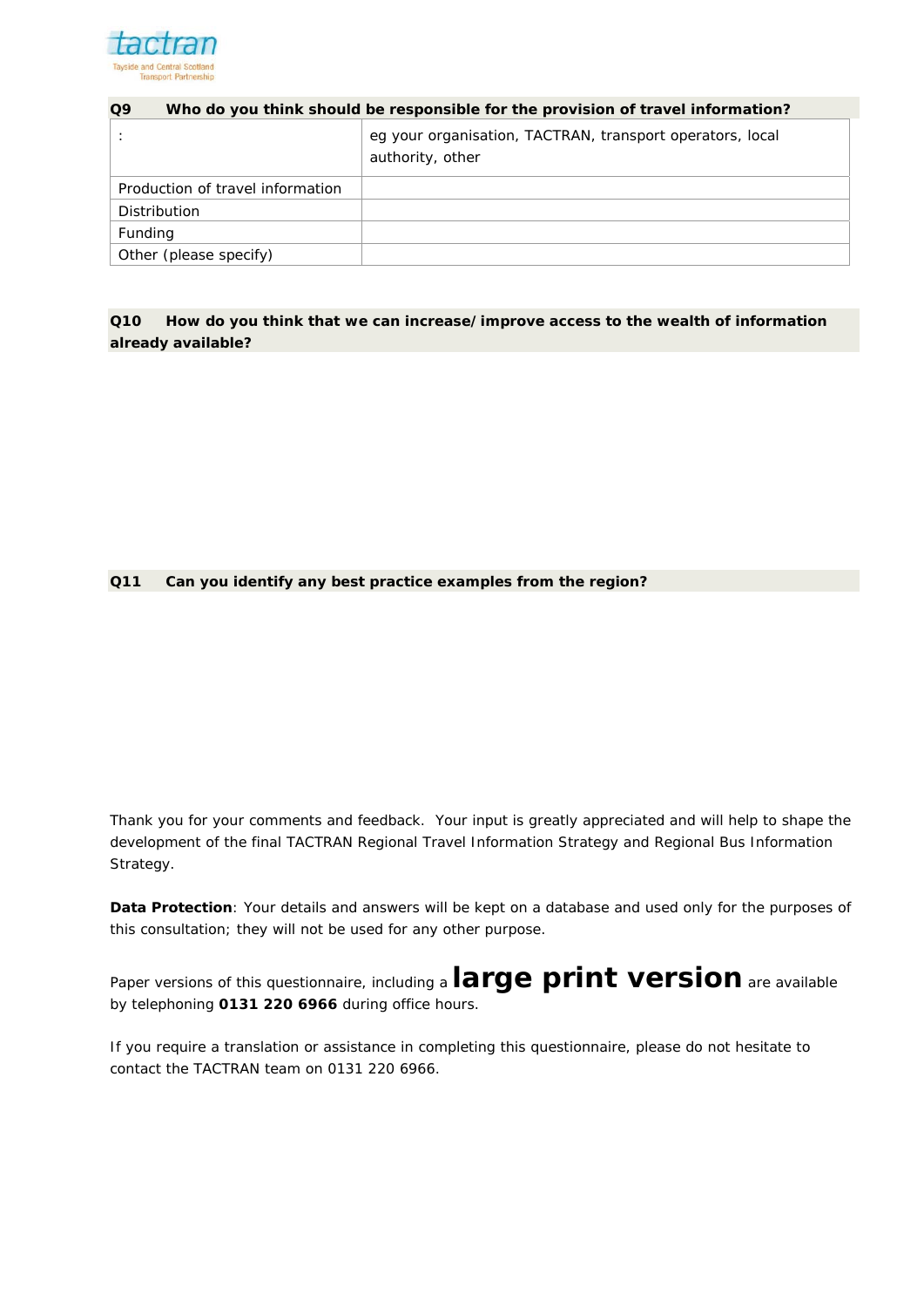

| Q <sub>9</sub><br>Who do you think should be responsible for the provision of travel information? |                                                                               |
|---------------------------------------------------------------------------------------------------|-------------------------------------------------------------------------------|
|                                                                                                   | eg your organisation, TACTRAN, transport operators, local<br>authority, other |
| Production of travel information                                                                  |                                                                               |
| <b>Distribution</b>                                                                               |                                                                               |
| Funding                                                                                           |                                                                               |
| Other (please specify)                                                                            |                                                                               |

**Q10 How do you think that we can increase/improve access to the wealth of information already available?** 

#### **Q11 Can you identify any best practice examples from the region?**

Thank you for your comments and feedback. Your input is greatly appreciated and will help to shape the development of the final TACTRAN Regional Travel Information Strategy and Regional Bus Information Strategy.

**Data Protection**: Your details and answers will be kept on a database and used only for the purposes of this consultation; they will not be used for any other purpose.

Paper versions of this questionnaire, including a **large print version** are available by telephoning **0131 220 6966** during office hours.

If you require a translation or assistance in completing this questionnaire, please do not hesitate to contact the TACTRAN team on 0131 220 6966.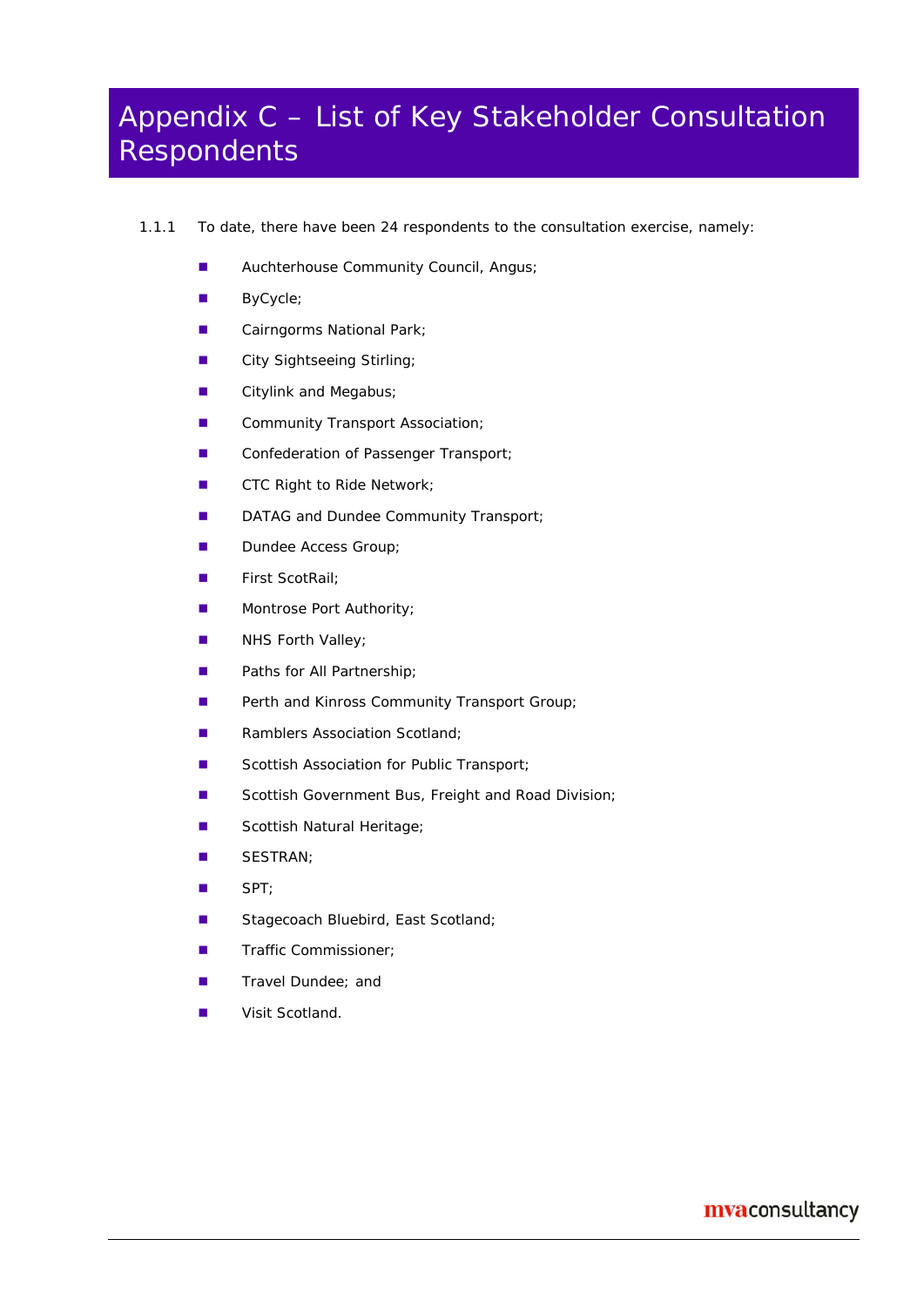## Appendix C – List of Key Stakeholder Consultation Respondents

- 1.1.1 To date, there have been 24 respondents to the consultation exercise, namely:
	- **Auchterhouse Community Council, Angus;**
	- **ByCycle**;
	- Cairngorms National Park;
	- **City Sightseeing Stirling;**
	- **Citylink and Megabus;**
	- **E** Community Transport Association;
	- Confederation of Passenger Transport;
	- **CTC Right to Ride Network;**
	- DATAG and Dundee Community Transport;
	- Dundee Access Group;
	- **First ScotRail**;
	- **Montrose Port Authority;**
	- **NHS Forth Valley;**
	- **Paths for All Partnership;**
	- Perth and Kinross Community Transport Group;
	- **Ramblers Association Scotland:**
	- Scottish Association for Public Transport;
	- Scottish Government Bus, Freight and Road Division;
	- Scottish Natural Heritage;
	- SESTRAN;
	- SPT;
	- Stagecoach Bluebird, East Scotland;
	- Traffic Commissioner;
	- Travel Dundee; and
	- **Visit Scotland.**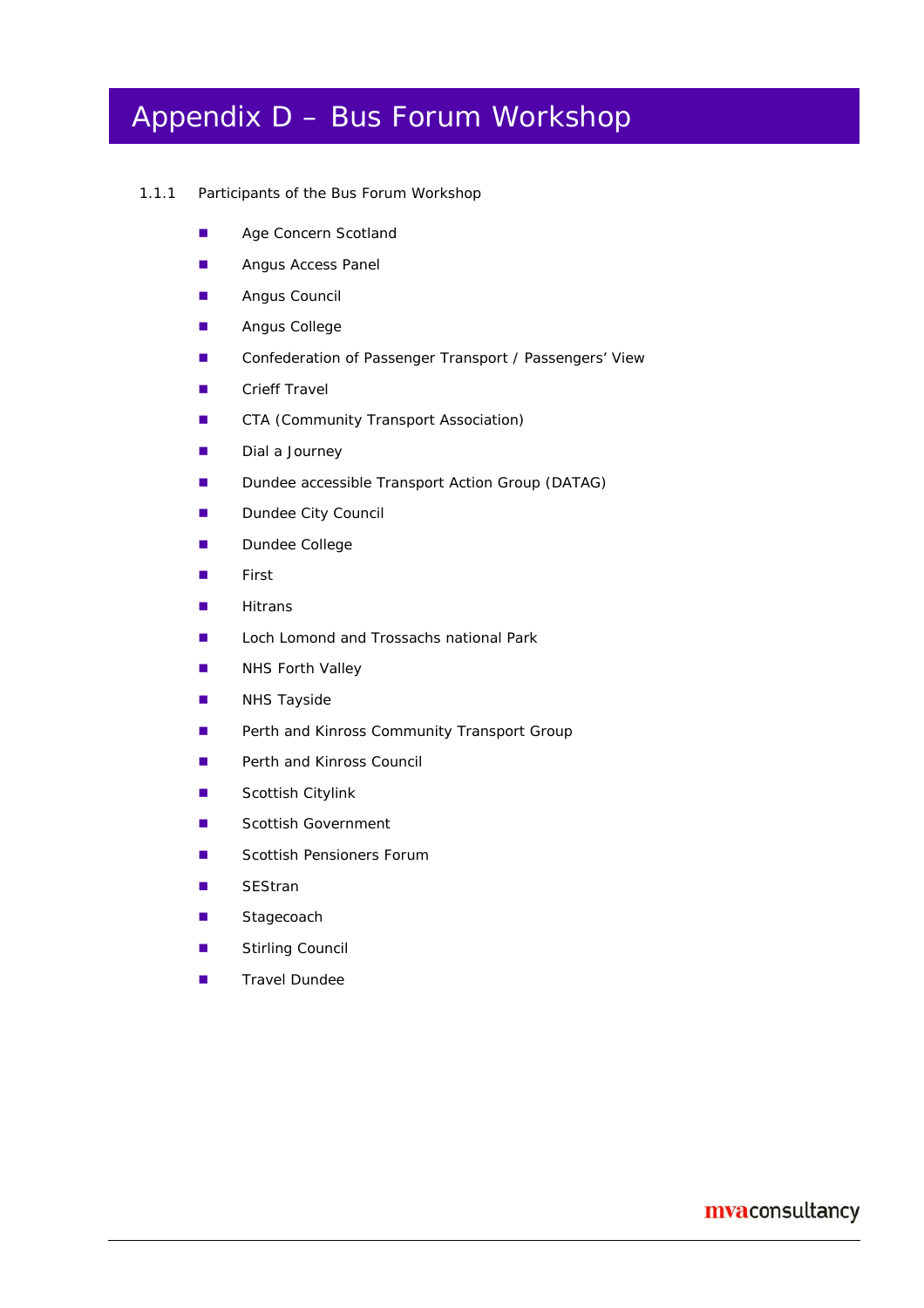## Appendix D – Bus Forum Workshop

#### 1.1.1 Participants of the Bus Forum Workshop

- **Age Concern Scotland**
- **Angus Access Panel**
- **Angus Council**
- **Angus College**
- Confederation of Passenger Transport / Passengers' View
- Crieff Travel
- **CTA (Community Transport Association)**
- Dial a Journey
- **Dundee accessible Transport Action Group (DATAG)**
- Dundee City Council
- **Dundee College**
- **First**
- $H$  Hitrans
- Loch Lomond and Trossachs national Park
- **NHS Forth Valley**
- **NHS Tayside**
- **Perth and Kinross Community Transport Group**
- **Perth and Kinross Council**
- **Scottish Citylink**
- **Scottish Government**
- Scottish Pensioners Forum
- SEStran
- **Stagecoach**
- **Stirling Council**
- **Travel Dundee**